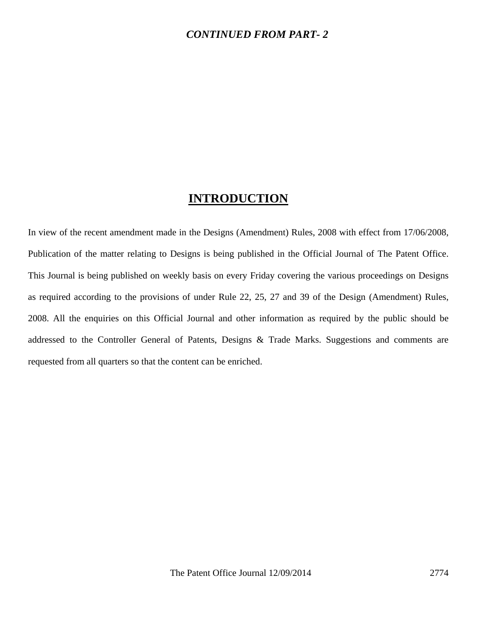#### *CONTINUED FROM PART- 2*

### **INTRODUCTION**

In view of the recent amendment made in the Designs (Amendment) Rules, 2008 with effect from 17/06/2008, Publication of the matter relating to Designs is being published in the Official Journal of The Patent Office. This Journal is being published on weekly basis on every Friday covering the various proceedings on Designs as required according to the provisions of under Rule 22, 25, 27 and 39 of the Design (Amendment) Rules, 2008. All the enquiries on this Official Journal and other information as required by the public should be addressed to the Controller General of Patents, Designs & Trade Marks. Suggestions and comments are requested from all quarters so that the content can be enriched.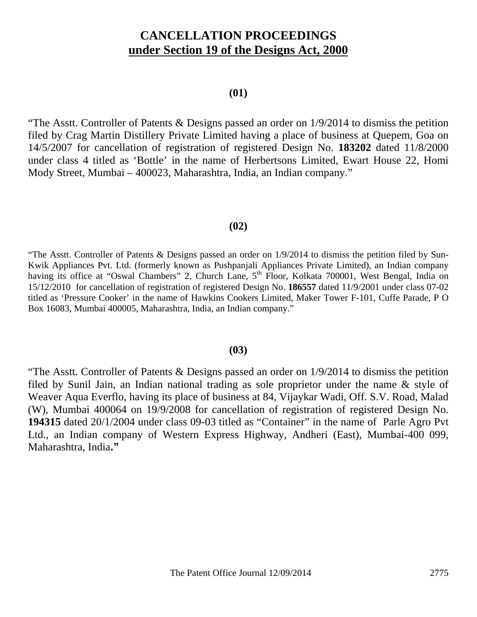# **CANCELLATION PROCEEDINGS under Section 19 of the Designs Act, 2000**

#### **(01)**

"The Asstt. Controller of Patents & Designs passed an order on 1/9/2014 to dismiss the petition filed by Crag Martin Distillery Private Limited having a place of business at Quepem, Goa on 14/5/2007 for cancellation of registration of registered Design No. **183202** dated 11/8/2000 under class 4 titled as 'Bottle' in the name of Herbertsons Limited, Ewart House 22, Homi Mody Street, Mumbai – 400023, Maharashtra, India, an Indian company."

#### **(02)**

"The Asstt. Controller of Patents & Designs passed an order on 1/9/2014 to dismiss the petition filed by Sun-Kwik Appliances Pvt. Ltd. (formerly known as Pushpanjali Appliances Private Limited), an Indian company having its office at "Oswal Chambers" 2, Church Lane, 5<sup>th</sup> Floor, Kolkata 700001, West Bengal, India on 15/12/2010 for cancellation of registration of registered Design No. **186557** dated 11/9/2001 under class 07-02 titled as 'Pressure Cooker' in the name of Hawkins Cookers Limited, Maker Tower F-101, Cuffe Parade, P O Box 16083, Mumbai 400005, Maharashtra, India, an Indian company."

#### **(03)**

"The Asstt. Controller of Patents & Designs passed an order on 1/9/2014 to dismiss the petition filed by Sunil Jain, an Indian national trading as sole proprietor under the name & style of Weaver Aqua Everflo, having its place of business at 84, Vijaykar Wadi, Off. S.V. Road, Malad (W), Mumbai 400064 on 19/9/2008 for cancellation of registration of registered Design No. **194315** dated 20/1/2004 under class 09-03 titled as "Container" in the name of Parle Agro Pvt Ltd., an Indian company of Western Express Highway, Andheri (East), Mumbai-400 099, Maharashtra, India**."**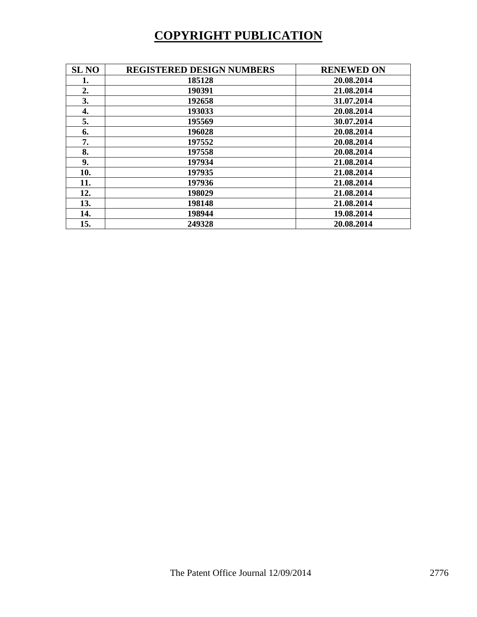# **COPYRIGHT PUBLICATION**

| <b>SL NO</b> | <b>REGISTERED DESIGN NUMBERS</b> | <b>RENEWED ON</b> |
|--------------|----------------------------------|-------------------|
| 1.           | 185128                           | 20.08.2014        |
| 2.           | 190391                           | 21.08.2014        |
| 3.           | 192658                           | 31.07.2014        |
| 4.           | 193033                           | 20.08.2014        |
| 5.           | 195569                           | 30.07.2014        |
| 6.           | 196028                           | 20.08.2014        |
| 7.           | 197552                           | 20.08.2014        |
| 8.           | 197558                           | 20.08.2014        |
| 9.           | 197934                           | 21.08.2014        |
| 10.          | 197935                           | 21.08.2014        |
| 11.          | 197936                           | 21.08.2014        |
| 12.          | 198029                           | 21.08.2014        |
| 13.          | 198148                           | 21.08.2014        |
| 14.          | 198944                           | 19.08.2014        |
| 15.          | 249328                           | 20.08.2014        |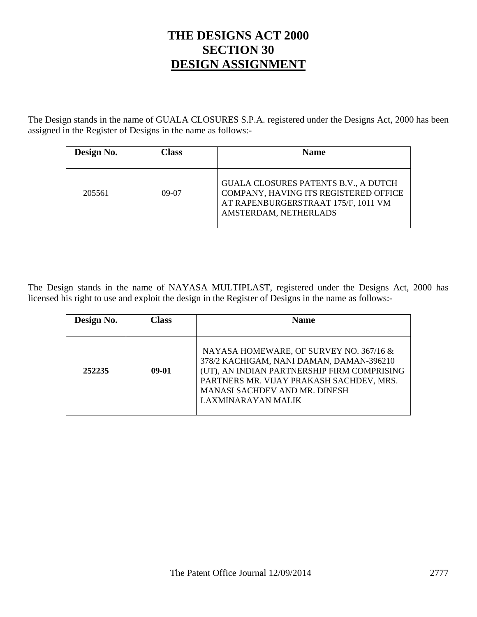# **THE DESIGNS ACT 2000 SECTION 30 DESIGN ASSIGNMENT**

The Design stands in the name of GUALA CLOSURES S.P.A. registered under the Designs Act, 2000 has been assigned in the Register of Designs in the name as follows:-

| Design No. | `lass | <b>Name</b>                                                                                                                                          |
|------------|-------|------------------------------------------------------------------------------------------------------------------------------------------------------|
| 205561     | 09-07 | <b>GUALA CLOSURES PATENTS B.V., A DUTCH</b><br>COMPANY, HAVING ITS REGISTERED OFFICE<br>AT RAPENBURGERSTRAAT 175/F, 1011 VM<br>AMSTERDAM, NETHERLADS |

The Design stands in the name of NAYASA MULTIPLAST, registered under the Designs Act, 2000 has licensed his right to use and exploit the design in the Register of Designs in the name as follows:-

| Design No. | Class   | <b>Name</b>                                                                                                                                                                                                                           |
|------------|---------|---------------------------------------------------------------------------------------------------------------------------------------------------------------------------------------------------------------------------------------|
|            |         |                                                                                                                                                                                                                                       |
| 252235     | $09-01$ | NAYASA HOMEWARE, OF SURVEY NO. 367/16 &<br>378/2 KACHIGAM, NANI DAMAN, DAMAN-396210<br>(UT), AN INDIAN PARTNERSHIP FIRM COMPRISING<br>PARTNERS MR. VIJAY PRAKASH SACHDEV, MRS.<br>MANASI SACHDEV AND MR. DINESH<br>LAXMINARAYAN MALIK |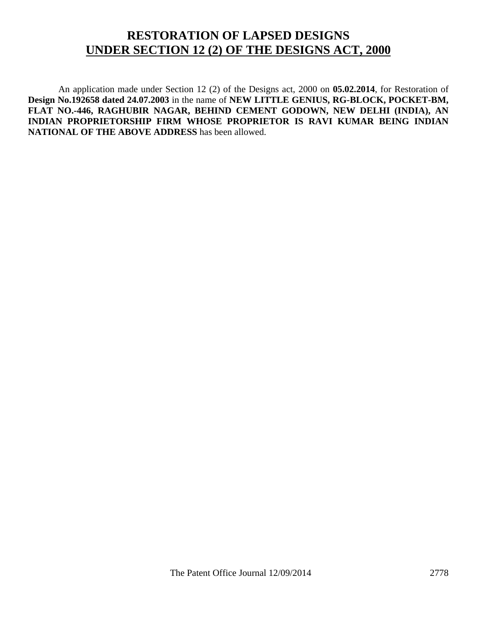# **RESTORATION OF LAPSED DESIGNS UNDER SECTION 12 (2) OF THE DESIGNS ACT, 2000**

 An application made under Section 12 (2) of the Designs act, 2000 on **05.02.2014**, for Restoration of **Design No.192658 dated 24.07.2003** in the name of **NEW LITTLE GENIUS, RG-BLOCK, POCKET-BM, FLAT NO.-446, RAGHUBIR NAGAR, BEHIND CEMENT GODOWN, NEW DELHI (INDIA), AN INDIAN PROPRIETORSHIP FIRM WHOSE PROPRIETOR IS RAVI KUMAR BEING INDIAN NATIONAL OF THE ABOVE ADDRESS** has been allowed.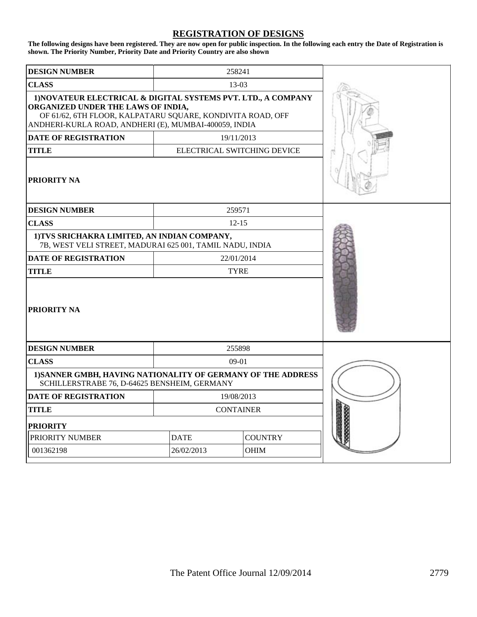#### **REGISTRATION OF DESIGNS**

**The following designs have been registered. They are now open for public inspection. In the following each entry the Date of Registration is shown. The Priority Number, Priority Date and Priority Country are also shown**

| <b>DESIGN NUMBER</b>                                                                                                                                                                                                       |                  | 258241                      |  |
|----------------------------------------------------------------------------------------------------------------------------------------------------------------------------------------------------------------------------|------------------|-----------------------------|--|
| <b>CLASS</b>                                                                                                                                                                                                               |                  | $13-03$                     |  |
| 1) NOVATEUR ELECTRICAL & DIGITAL SYSTEMS PVT. LTD., A COMPANY<br>ORGANIZED UNDER THE LAWS OF INDIA,<br>OF 61/62, 6TH FLOOR, KALPATARU SQUARE, KONDIVITA ROAD, OFF<br>ANDHERI-KURLA ROAD, ANDHERI (E), MUMBAI-400059, INDIA |                  |                             |  |
| <b>DATE OF REGISTRATION</b>                                                                                                                                                                                                |                  | 19/11/2013                  |  |
| <b>TITLE</b>                                                                                                                                                                                                               |                  | ELECTRICAL SWITCHING DEVICE |  |
| PRIORITY NA                                                                                                                                                                                                                |                  |                             |  |
| <b>DESIGN NUMBER</b>                                                                                                                                                                                                       | 259571           |                             |  |
| <b>CLASS</b>                                                                                                                                                                                                               |                  | $12 - 15$                   |  |
| 1) TVS SRICHAKRA LIMITED, AN INDIAN COMPANY,<br>7B, WEST VELI STREET, MADURAI 625 001, TAMIL NADU, INDIA                                                                                                                   |                  |                             |  |
| <b>DATE OF REGISTRATION</b>                                                                                                                                                                                                | 22/01/2014       |                             |  |
| <b>TYRE</b><br><b>TITLE</b>                                                                                                                                                                                                |                  |                             |  |
| <b>PRIORITY NA</b>                                                                                                                                                                                                         |                  |                             |  |
| <b>DESIGN NUMBER</b>                                                                                                                                                                                                       |                  | 255898                      |  |
| <b>CLASS</b>                                                                                                                                                                                                               |                  | $09-01$                     |  |
| 1) SANNER GMBH, HAVING NATIONALITY OF GERMANY OF THE ADDRESS<br>SCHILLERSTRABE 76, D-64625 BENSHEIM, GERMANY                                                                                                               |                  |                             |  |
| <b>DATE OF REGISTRATION</b>                                                                                                                                                                                                | 19/08/2013       |                             |  |
| <b>TITLE</b>                                                                                                                                                                                                               | <b>CONTAINER</b> |                             |  |
| <b>PRIORITY</b>                                                                                                                                                                                                            |                  |                             |  |
| PRIORITY NUMBER                                                                                                                                                                                                            | <b>DATE</b>      | <b>COUNTRY</b>              |  |
| 001362198                                                                                                                                                                                                                  | 26/02/2013       | <b>OHIM</b>                 |  |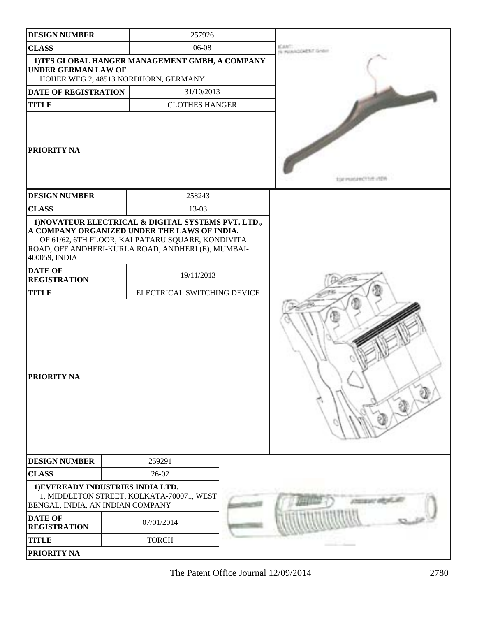| <b>DESIGN NUMBER</b>                  | 257926                                                                                                                                                                                                        |                             |
|---------------------------------------|---------------------------------------------------------------------------------------------------------------------------------------------------------------------------------------------------------------|-----------------------------|
| <b>CLASS</b>                          | 06-08                                                                                                                                                                                                         | to send the backet said. By |
| <b>UNDER GERMAN LAW OF</b>            | 1) TFS GLOBAL HANGER MANAGEMENT GMBH, A COMPANY<br>HOHER WEG 2, 48513 NORDHORN, GERMANY                                                                                                                       |                             |
| DATE OF REGISTRATION                  | 31/10/2013                                                                                                                                                                                                    |                             |
| <b>TITLE</b>                          | <b>CLOTHES HANGER</b>                                                                                                                                                                                         |                             |
| PRIORITY NA                           |                                                                                                                                                                                                               | transmission Citter in the  |
| <b>DESIGN NUMBER</b>                  | 258243                                                                                                                                                                                                        |                             |
| <b>CLASS</b>                          | 13-03                                                                                                                                                                                                         |                             |
| 400059, INDIA                         | 1) NOVATEUR ELECTRICAL & DIGITAL SYSTEMS PVT. LTD.,<br>A COMPANY ORGANIZED UNDER THE LAWS OF INDIA,<br>OF 61/62, 6TH FLOOR, KALPATARU SQUARE, KONDIVITA<br>ROAD, OFF ANDHERI-KURLA ROAD, ANDHERI (E), MUMBAI- |                             |
| <b>DATE OF</b><br><b>REGISTRATION</b> | 19/11/2013                                                                                                                                                                                                    |                             |
| <b>TITLE</b>                          | ELECTRICAL SWITCHING DEVICE                                                                                                                                                                                   |                             |
| PRIORITY NA                           |                                                                                                                                                                                                               |                             |
| <b>DESIGN NUMBER</b>                  | 259291                                                                                                                                                                                                        |                             |
| <b>CLASS</b>                          | 26-02                                                                                                                                                                                                         |                             |
| BENGAL, INDIA, AN INDIAN COMPANY      | 1) EVEREADY INDUSTRIES INDIA LTD.<br>1, MIDDLETON STREET, KOLKATA-700071, WEST                                                                                                                                |                             |
| <b>DATE OF</b><br><b>REGISTRATION</b> | 07/01/2014                                                                                                                                                                                                    |                             |
| <b>TITLE</b>                          | <b>TORCH</b>                                                                                                                                                                                                  |                             |
| PRIORITY NA                           |                                                                                                                                                                                                               |                             |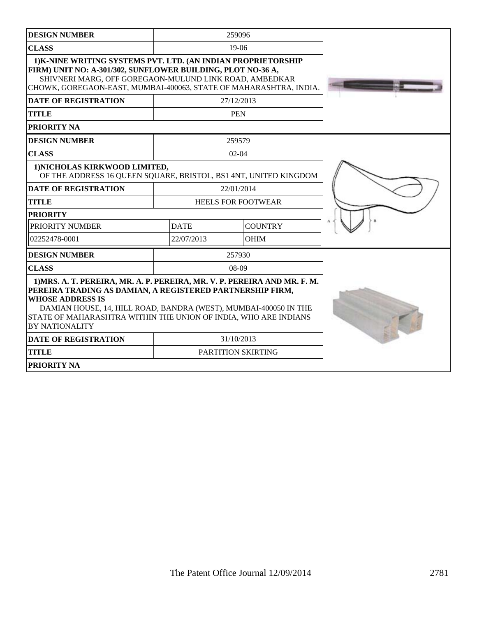| <b>DESIGN NUMBER</b>                                                                                                                                                                                                                                                                                                              |                           | 259096                    |  |
|-----------------------------------------------------------------------------------------------------------------------------------------------------------------------------------------------------------------------------------------------------------------------------------------------------------------------------------|---------------------------|---------------------------|--|
| <b>CLASS</b>                                                                                                                                                                                                                                                                                                                      |                           | $19-06$                   |  |
| 1) K-NINE WRITING SYSTEMS PVT. LTD. (AN INDIAN PROPRIETORSHIP<br>FIRM) UNIT NO: A-301/302, SUNFLOWER BUILDING, PLOT NO-36 A,<br>SHIVNERI MARG, OFF GOREGAON-MULUND LINK ROAD, AMBEDKAR<br>CHOWK, GOREGAON-EAST, MUMBAI-400063, STATE OF MAHARASHTRA, INDIA.                                                                       |                           |                           |  |
| <b>DATE OF REGISTRATION</b>                                                                                                                                                                                                                                                                                                       |                           | 27/12/2013                |  |
| <b>TITLE</b>                                                                                                                                                                                                                                                                                                                      |                           | <b>PEN</b>                |  |
| <b>PRIORITY NA</b>                                                                                                                                                                                                                                                                                                                |                           |                           |  |
| <b>DESIGN NUMBER</b>                                                                                                                                                                                                                                                                                                              |                           |                           |  |
| <b>CLASS</b>                                                                                                                                                                                                                                                                                                                      |                           | $02 - 04$                 |  |
| 1) NICHOLAS KIRKWOOD LIMITED,<br>OF THE ADDRESS 16 QUEEN SQUARE, BRISTOL, BS1 4NT, UNITED KINGDOM                                                                                                                                                                                                                                 |                           |                           |  |
| <b>DATE OF REGISTRATION</b>                                                                                                                                                                                                                                                                                                       | 22/01/2014                |                           |  |
| <b>TITLE</b>                                                                                                                                                                                                                                                                                                                      | <b>HEELS FOR FOOTWEAR</b> |                           |  |
| <b>PRIORITY</b>                                                                                                                                                                                                                                                                                                                   |                           |                           |  |
| PRIORITY NUMBER                                                                                                                                                                                                                                                                                                                   | <b>DATE</b>               | <b>COUNTRY</b>            |  |
| 02252478-0001                                                                                                                                                                                                                                                                                                                     | 22/07/2013                | <b>OHIM</b>               |  |
| <b>DESIGN NUMBER</b>                                                                                                                                                                                                                                                                                                              |                           | 257930                    |  |
| <b>CLASS</b>                                                                                                                                                                                                                                                                                                                      |                           | $08-09$                   |  |
| 1) MRS. A. T. PEREIRA, MR. A. P. PEREIRA, MR. V. P. PEREIRA AND MR. F. M.<br>PEREIRA TRADING AS DAMIAN, A REGISTERED PARTNERSHIP FIRM,<br><b>WHOSE ADDRESS IS</b><br>DAMIAN HOUSE, 14, HILL ROAD, BANDRA (WEST), MUMBAI-400050 IN THE<br>STATE OF MAHARASHTRA WITHIN THE UNION OF INDIA, WHO ARE INDIANS<br><b>BY NATIONALITY</b> |                           |                           |  |
| <b>DATE OF REGISTRATION</b>                                                                                                                                                                                                                                                                                                       | 31/10/2013                |                           |  |
| <b>TITLE</b>                                                                                                                                                                                                                                                                                                                      |                           | <b>PARTITION SKIRTING</b> |  |
| <b>PRIORITY NA</b>                                                                                                                                                                                                                                                                                                                |                           |                           |  |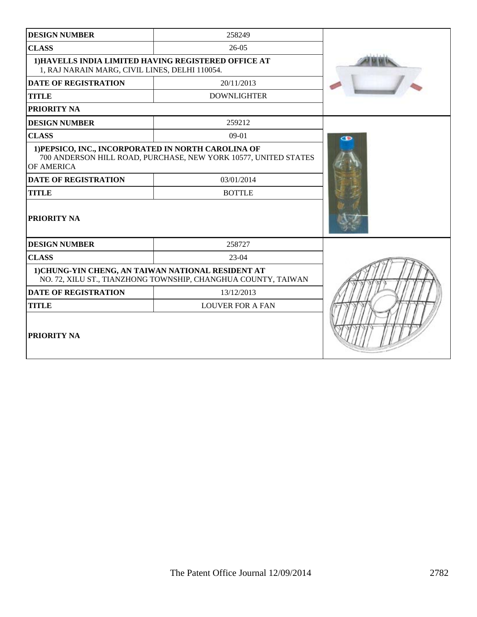| <b>DESIGN NUMBER</b>                                                                                   |                                                                 |   |
|--------------------------------------------------------------------------------------------------------|-----------------------------------------------------------------|---|
| <b>CLASS</b>                                                                                           | $26-05$                                                         |   |
| 1) HAVELLS INDIA LIMITED HAVING REGISTERED OFFICE AT<br>1, RAJ NARAIN MARG, CIVIL LINES, DELHI 110054. |                                                                 |   |
| <b>DATE OF REGISTRATION</b>                                                                            | 20/11/2013                                                      |   |
| <b>TITLE</b><br><b>DOWNLIGHTER</b>                                                                     |                                                                 |   |
| <b>PRIORITY NA</b>                                                                                     |                                                                 |   |
| <b>DESIGN NUMBER</b>                                                                                   | 259212                                                          |   |
| <b>CLASS</b>                                                                                           | 09-01                                                           | œ |
| 1) PEPSICO, INC., INCORPORATED IN NORTH CAROLINA OF<br>OF AMERICA                                      | 700 ANDERSON HILL ROAD, PURCHASE, NEW YORK 10577, UNITED STATES |   |
| <b>DATE OF REGISTRATION</b>                                                                            |                                                                 |   |
| <b>TITLE</b>                                                                                           | <b>BOTTLE</b>                                                   |   |
| PRIORITY NA                                                                                            |                                                                 |   |
| <b>DESIGN NUMBER</b>                                                                                   | 258727                                                          |   |
| <b>CLASS</b>                                                                                           | $23-04$                                                         |   |
| 1) CHUNG-YIN CHENG, AN TAIWAN NATIONAL RESIDENT AT                                                     | NO. 72, XILU ST., TIANZHONG TOWNSHIP, CHANGHUA COUNTY, TAIWAN   |   |
| <b>DATE OF REGISTRATION</b>                                                                            | 13/12/2013                                                      |   |
| <b>TITLE</b>                                                                                           | <b>LOUVER FOR A FAN</b>                                         |   |
| PRIORITY NA                                                                                            |                                                                 |   |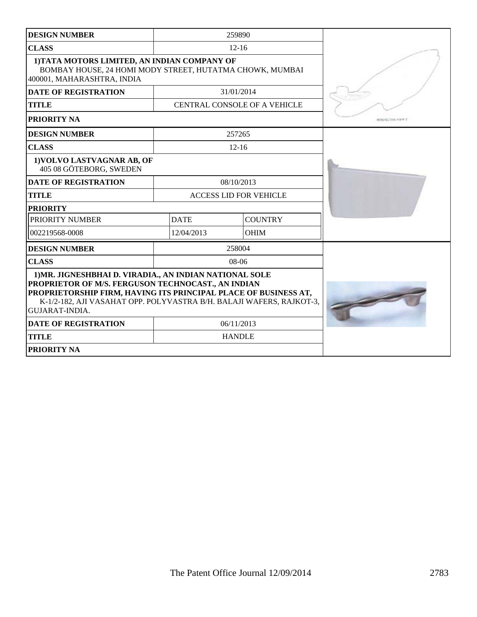| <b>DESIGN NUMBER</b>                                                                                                                                                                                                                                                              |             | 259890                        |                          |
|-----------------------------------------------------------------------------------------------------------------------------------------------------------------------------------------------------------------------------------------------------------------------------------|-------------|-------------------------------|--------------------------|
| <b>CLASS</b>                                                                                                                                                                                                                                                                      |             | $12 - 16$                     |                          |
| 1) TATA MOTORS LIMITED, AN INDIAN COMPANY OF<br>BOMBAY HOUSE, 24 HOMI MODY STREET, HUTATMA CHOWK, MUMBAI<br>400001, MAHARASHTRA, INDIA                                                                                                                                            |             |                               |                          |
| <b>DATE OF REGISTRATION</b>                                                                                                                                                                                                                                                       |             | 31/01/2014                    |                          |
| <b>TITLE</b>                                                                                                                                                                                                                                                                      |             | CENTRAL CONSOLE OF A VEHICLE  |                          |
| <b>PRIORITY NA</b>                                                                                                                                                                                                                                                                |             |                               | <b>RESPECTIVE VIEW 2</b> |
| <b>DESIGN NUMBER</b>                                                                                                                                                                                                                                                              |             | 257265                        |                          |
| <b>CLASS</b>                                                                                                                                                                                                                                                                      |             | $12 - 16$                     |                          |
| 1) VOLVO LASTVAGNAR AB, OF<br>405 08 GÖTEBORG, SWEDEN                                                                                                                                                                                                                             |             |                               |                          |
| <b>DATE OF REGISTRATION</b>                                                                                                                                                                                                                                                       |             | 08/10/2013                    |                          |
| <b>TITLE</b>                                                                                                                                                                                                                                                                      |             | <b>ACCESS LID FOR VEHICLE</b> |                          |
| <b>PRIORITY</b>                                                                                                                                                                                                                                                                   |             |                               |                          |
| PRIORITY NUMBER                                                                                                                                                                                                                                                                   | <b>DATE</b> | <b>COUNTRY</b>                |                          |
| 002219568-0008                                                                                                                                                                                                                                                                    | 12/04/2013  | <b>OHIM</b>                   |                          |
| <b>DESIGN NUMBER</b>                                                                                                                                                                                                                                                              |             | 258004                        |                          |
| <b>CLASS</b>                                                                                                                                                                                                                                                                      |             | $08-06$                       |                          |
| 1) MR. JIGNESHBHAI D. VIRADIA., AN INDIAN NATIONAL SOLE<br>PROPRIETOR OF M/S. FERGUSON TECHNOCAST., AN INDIAN<br>PROPRIETORSHIP FIRM, HAVING ITS PRINCIPAL PLACE OF BUSINESS AT,<br>K-1/2-182, AJI VASAHAT OPP. POLYVASTRA B/H. BALAJI WAFERS, RAJKOT-3,<br><b>GUJARAT-INDIA.</b> |             |                               |                          |
| <b>DATE OF REGISTRATION</b>                                                                                                                                                                                                                                                       |             | 06/11/2013                    |                          |
| <b>TITLE</b>                                                                                                                                                                                                                                                                      |             | <b>HANDLE</b>                 |                          |
| <b>PRIORITY NA</b>                                                                                                                                                                                                                                                                |             |                               |                          |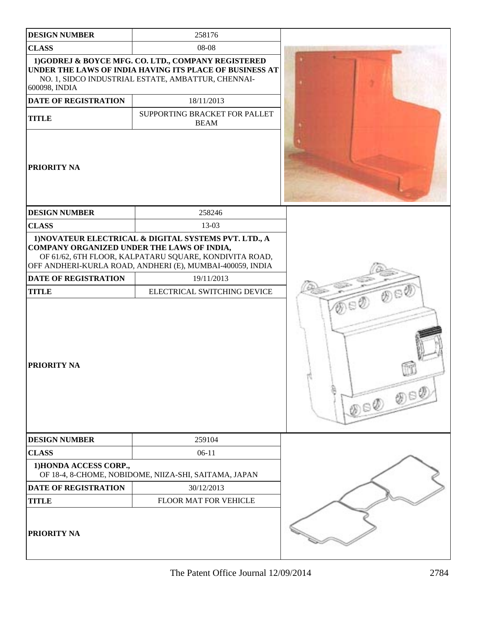| <b>DESIGN NUMBER</b>                       | 258176                                                                                                                                                                       |                        |
|--------------------------------------------|------------------------------------------------------------------------------------------------------------------------------------------------------------------------------|------------------------|
| <b>CLASS</b>                               | 08-08                                                                                                                                                                        |                        |
| 600098, INDIA                              | 1)GODREJ & BOYCE MFG. CO. LTD., COMPANY REGISTERED<br>UNDER THE LAWS OF INDIA HAVING ITS PLACE OF BUSINESS AT<br>NO. 1, SIDCO INDUSTRIAL ESTATE, AMBATTUR, CHENNAI-          |                        |
| <b>DATE OF REGISTRATION</b>                | 18/11/2013                                                                                                                                                                   |                        |
| <b>TITLE</b>                               | SUPPORTING BRACKET FOR PALLET<br><b>BEAM</b>                                                                                                                                 |                        |
| <b>PRIORITY NA</b>                         |                                                                                                                                                                              |                        |
| <b>DESIGN NUMBER</b>                       | 258246                                                                                                                                                                       |                        |
| <b>CLASS</b>                               | 13-03                                                                                                                                                                        |                        |
| COMPANY ORGANIZED UNDER THE LAWS OF INDIA, | 1) NOVATEUR ELECTRICAL & DIGITAL SYSTEMS PVT. LTD., A<br>OF 61/62, 6TH FLOOR, KALPATARU SQUARE, KONDIVITA ROAD,<br>OFF ANDHERI-KURLA ROAD, ANDHERI (E), MUMBAI-400059, INDIA |                        |
| <b>DATE OF REGISTRATION</b>                | 19/11/2013                                                                                                                                                                   |                        |
| <b>TITLE</b>                               | ELECTRICAL SWITCHING DEVICE                                                                                                                                                  | குல                    |
| <b>PRIORITY NA</b>                         |                                                                                                                                                                              | a Ø<br>$y\in\emptyset$ |
| <b>DESIGN NUMBER</b>                       | 259104                                                                                                                                                                       |                        |
| <b>CLASS</b>                               | $06-11$                                                                                                                                                                      |                        |
| 1) HONDA ACCESS CORP.,                     | OF 18-4, 8-CHOME, NOBIDOME, NIIZA-SHI, SAITAMA, JAPAN                                                                                                                        |                        |
| DATE OF REGISTRATION                       | 30/12/2013                                                                                                                                                                   |                        |
| <b>TITLE</b>                               | FLOOR MAT FOR VEHICLE                                                                                                                                                        |                        |
| <b>PRIORITY NA</b>                         |                                                                                                                                                                              |                        |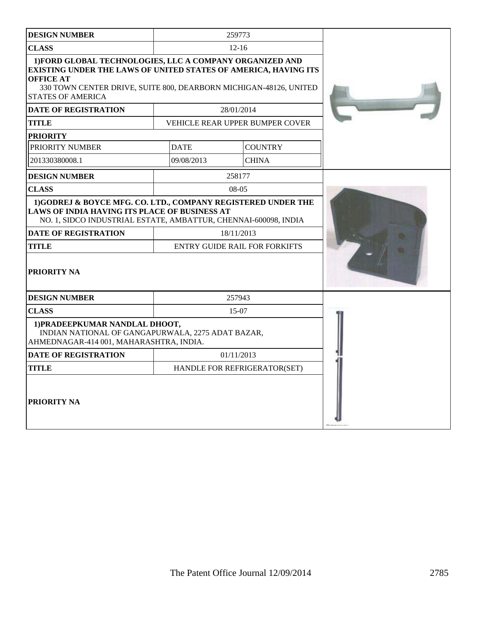| <b>DESIGN NUMBER</b>                                                                                                                                                                                                                                    |             | 259773                                             |  |
|---------------------------------------------------------------------------------------------------------------------------------------------------------------------------------------------------------------------------------------------------------|-------------|----------------------------------------------------|--|
| <b>CLASS</b>                                                                                                                                                                                                                                            |             | $12 - 16$                                          |  |
| 1) FORD GLOBAL TECHNOLOGIES, LLC A COMPANY ORGANIZED AND<br><b>EXISTING UNDER THE LAWS OF UNITED STATES OF AMERICA, HAVING ITS</b><br><b>OFFICE AT</b><br>330 TOWN CENTER DRIVE, SUITE 800, DEARBORN MICHIGAN-48126, UNITED<br><b>STATES OF AMERICA</b> |             |                                                    |  |
| <b>DATE OF REGISTRATION</b>                                                                                                                                                                                                                             |             | 28/01/2014                                         |  |
| <b>TITLE</b>                                                                                                                                                                                                                                            |             | VEHICLE REAR UPPER BUMPER COVER                    |  |
| <b>PRIORITY</b>                                                                                                                                                                                                                                         |             |                                                    |  |
| PRIORITY NUMBER                                                                                                                                                                                                                                         | <b>DATE</b> | <b>COUNTRY</b>                                     |  |
| 201330380008.1                                                                                                                                                                                                                                          | 09/08/2013  | <b>CHINA</b>                                       |  |
| <b>DESIGN NUMBER</b>                                                                                                                                                                                                                                    |             | 258177                                             |  |
| <b>CLASS</b>                                                                                                                                                                                                                                            |             | $08-05$                                            |  |
| LAWS OF INDIA HAVING ITS PLACE OF BUSINESS AT<br>NO. 1, SIDCO INDUSTRIAL ESTATE, AMBATTUR, CHENNAI-600098, INDIA<br><b>DATE OF REGISTRATION</b><br><b>TITLE</b><br><b>PRIORITY NA</b>                                                                   |             | 18/11/2013<br><b>ENTRY GUIDE RAIL FOR FORKIFTS</b> |  |
| <b>DESIGN NUMBER</b>                                                                                                                                                                                                                                    |             | 257943                                             |  |
| <b>CLASS</b><br>1) PRADEEPKUMAR NANDLAL DHOOT,<br>INDIAN NATIONAL OF GANGAPURWALA, 2275 ADAT BAZAR,<br>AHMEDNAGAR-414 001, MAHARASHTRA, INDIA.                                                                                                          |             | $15-07$                                            |  |
| <b>DATE OF REGISTRATION</b>                                                                                                                                                                                                                             |             | 01/11/2013                                         |  |
| <b>TITLE</b>                                                                                                                                                                                                                                            |             | HANDLE FOR REFRIGERATOR(SET)                       |  |
| <b>PRIORITY NA</b>                                                                                                                                                                                                                                      |             |                                                    |  |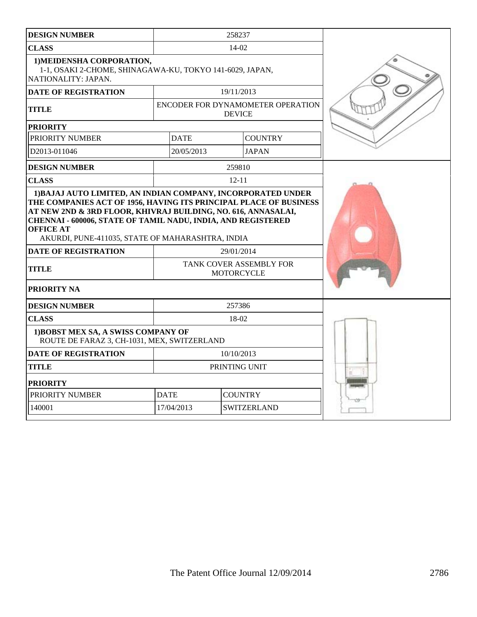| <b>DESIGN NUMBER</b>                                                                                                                                                                                                                 | 258237                                                     |           |                |  |
|--------------------------------------------------------------------------------------------------------------------------------------------------------------------------------------------------------------------------------------|------------------------------------------------------------|-----------|----------------|--|
| <b>CLASS</b>                                                                                                                                                                                                                         |                                                            |           |                |  |
| 1) MEIDENSHA CORPORATION,<br>1-1, OSAKI 2-CHOME, SHINAGAWA-KU, TOKYO 141-6029, JAPAN,<br>NATIONALITY: JAPAN.                                                                                                                         |                                                            |           |                |  |
| <b>DATE OF REGISTRATION</b>                                                                                                                                                                                                          | 19/11/2013                                                 |           |                |  |
| <b>TITLE</b>                                                                                                                                                                                                                         | ENCODER FOR DYNAMOMETER OPERATION<br><b>DEVICE</b>         |           |                |  |
| <b>PRIORITY</b>                                                                                                                                                                                                                      |                                                            |           |                |  |
| PRIORITY NUMBER                                                                                                                                                                                                                      | <b>DATE</b>                                                |           | <b>COUNTRY</b> |  |
| D2013-011046                                                                                                                                                                                                                         | 20/05/2013                                                 |           | <b>JAPAN</b>   |  |
| <b>DESIGN NUMBER</b>                                                                                                                                                                                                                 |                                                            | 259810    |                |  |
| <b>CLASS</b>                                                                                                                                                                                                                         |                                                            | $12 - 11$ |                |  |
| AT NEW 2ND & 3RD FLOOR, KHIVRAJ BUILDING, NO. 616, ANNASALAI,<br>CHENNAI - 600006, STATE OF TAMIL NADU, INDIA, AND REGISTERED<br><b>OFFICE AT</b><br>AKURDI, PUNE-411035, STATE OF MAHARASHTRA, INDIA<br><b>DATE OF REGISTRATION</b> |                                                            |           |                |  |
| TITLE                                                                                                                                                                                                                                | 29/01/2014<br>TANK COVER ASSEMBLY FOR<br><b>MOTORCYCLE</b> |           |                |  |
| <b>PRIORITY NA</b>                                                                                                                                                                                                                   |                                                            |           |                |  |
| <b>DESIGN NUMBER</b>                                                                                                                                                                                                                 |                                                            | 257386    |                |  |
| $18-02$<br><b>CLASS</b>                                                                                                                                                                                                              |                                                            |           |                |  |
| 1) BOBST MEX SA, A SWISS COMPANY OF<br>ROUTE DE FARAZ 3, CH-1031, MEX, SWITZERLAND                                                                                                                                                   |                                                            |           |                |  |
| <b>DATE OF REGISTRATION</b><br>10/10/2013                                                                                                                                                                                            |                                                            |           |                |  |
| <b>TITLE</b>                                                                                                                                                                                                                         | PRINTING UNIT                                              |           |                |  |
| <b>PRIORITY</b>                                                                                                                                                                                                                      |                                                            |           |                |  |
| PRIORITY NUMBER<br><b>COUNTRY</b><br><b>DATE</b>                                                                                                                                                                                     |                                                            |           |                |  |
| 140001                                                                                                                                                                                                                               | 17/04/2013<br><b>SWITZERLAND</b>                           |           |                |  |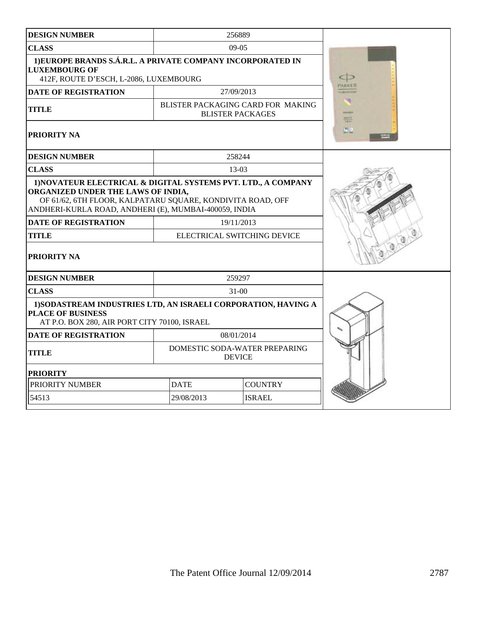| <b>DESIGN NUMBER</b>                                                                                                                                                                                                    |             | 256889                                                       |              |
|-------------------------------------------------------------------------------------------------------------------------------------------------------------------------------------------------------------------------|-------------|--------------------------------------------------------------|--------------|
| <b>CLASS</b>                                                                                                                                                                                                            |             | $09-05$                                                      |              |
| 1) EUROPE BRANDS S.Á.R.L. A PRIVATE COMPANY INCORPORATED IN<br><b>LUXEMBOURG OF</b><br>412F, ROUTE D'ESCH, L-2086, LUXEMBOURG                                                                                           |             |                                                              |              |
| <b>DATE OF REGISTRATION</b>                                                                                                                                                                                             |             | 27/09/2013                                                   | <b>ARKER</b> |
| <b>TITLE</b>                                                                                                                                                                                                            |             | BLISTER PACKAGING CARD FOR MAKING<br><b>BLISTER PACKAGES</b> | <b>WITH</b>  |
| PRIORITY NA                                                                                                                                                                                                             |             |                                                              |              |
| <b>DESIGN NUMBER</b>                                                                                                                                                                                                    |             | 258244                                                       |              |
| <b>CLASS</b>                                                                                                                                                                                                            |             | $13-03$                                                      |              |
| ORGANIZED UNDER THE LAWS OF INDIA,<br>OF 61/62, 6TH FLOOR, KALPATARU SQUARE, KONDIVITA ROAD, OFF<br>ANDHERI-KURLA ROAD, ANDHERI (E), MUMBAI-400059, INDIA<br><b>DATE OF REGISTRATION</b><br>TITLE<br><b>PRIORITY NA</b> |             | 19/11/2013<br>ELECTRICAL SWITCHING DEVICE                    |              |
| <b>DESIGN NUMBER</b>                                                                                                                                                                                                    |             | 259297                                                       |              |
| <b>CLASS</b>                                                                                                                                                                                                            |             | $31 - 00$                                                    |              |
| 1) SODASTREAM INDUSTRIES LTD, AN ISRAELI CORPORATION, HAVING A<br><b>PLACE OF BUSINESS</b><br>AT P.O. BOX 280, AIR PORT CITY 70100, ISRAEL                                                                              |             |                                                              |              |
| <b>DATE OF REGISTRATION</b>                                                                                                                                                                                             |             | 08/01/2014                                                   |              |
| TITLE                                                                                                                                                                                                                   |             | DOMESTIC SODA-WATER PREPARING<br><b>DEVICE</b>               |              |
| <b>PRIORITY</b>                                                                                                                                                                                                         |             |                                                              |              |
| PRIORITY NUMBER                                                                                                                                                                                                         | <b>DATE</b> | <b>COUNTRY</b>                                               |              |
|                                                                                                                                                                                                                         |             |                                                              |              |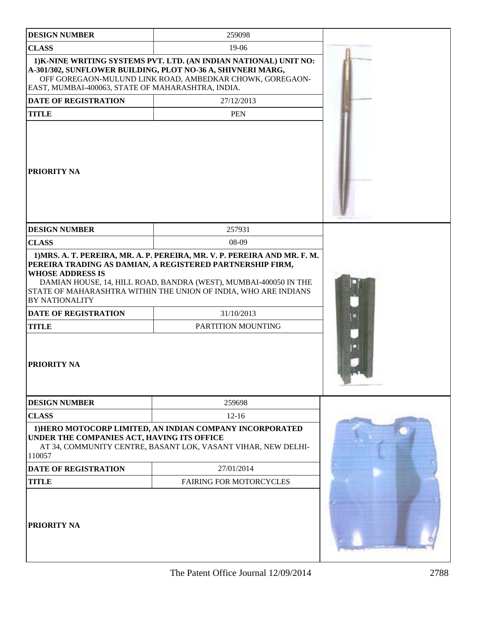| <b>DESIGN NUMBER</b>                                                                                           | 259098                                                                                                                                                                                       |  |
|----------------------------------------------------------------------------------------------------------------|----------------------------------------------------------------------------------------------------------------------------------------------------------------------------------------------|--|
| <b>CLASS</b>                                                                                                   | 19-06                                                                                                                                                                                        |  |
| EAST, MUMBAI-400063, STATE OF MAHARASHTRA, INDIA.                                                              | 1) K-NINE WRITING SYSTEMS PVT. LTD. (AN INDIAN NATIONAL) UNIT NO:<br>A-301/302, SUNFLOWER BUILDING, PLOT NO-36 A, SHIVNERI MARG,<br>OFF GOREGAON-MULUND LINK ROAD, AMBEDKAR CHOWK, GOREGAON- |  |
| <b>DATE OF REGISTRATION</b>                                                                                    | 27/12/2013                                                                                                                                                                                   |  |
| <b>TITLE</b>                                                                                                   | <b>PEN</b>                                                                                                                                                                                   |  |
| PRIORITY NA                                                                                                    |                                                                                                                                                                                              |  |
| <b>DESIGN NUMBER</b>                                                                                           | 257931                                                                                                                                                                                       |  |
| <b>CLASS</b>                                                                                                   | 08-09                                                                                                                                                                                        |  |
| <b>WHOSE ADDRESS IS</b><br><b>BY NATIONALITY</b><br><b>DATE OF REGISTRATION</b><br><b>TITLE</b><br>PRIORITY NA | DAMIAN HOUSE, 14, HILL ROAD, BANDRA (WEST), MUMBAI-400050 IN THE<br>STATE OF MAHARASHTRA WITHIN THE UNION OF INDIA, WHO ARE INDIANS<br>31/10/2013<br>PARTITION MOUNTING                      |  |
| <b>DESIGN NUMBER</b>                                                                                           | 259698                                                                                                                                                                                       |  |
| <b>CLASS</b>                                                                                                   | $12 - 16$                                                                                                                                                                                    |  |
| UNDER THE COMPANIES ACT, HAVING ITS OFFICE<br>110057                                                           | 1) HERO MOTOCORP LIMITED, AN INDIAN COMPANY INCORPORATED<br>AT 34, COMMUNITY CENTRE, BASANT LOK, VASANT VIHAR, NEW DELHI-                                                                    |  |
| <b>DATE OF REGISTRATION</b>                                                                                    | 27/01/2014                                                                                                                                                                                   |  |
| <b>TITLE</b>                                                                                                   | FAIRING FOR MOTORCYCLES                                                                                                                                                                      |  |
| PRIORITY NA                                                                                                    |                                                                                                                                                                                              |  |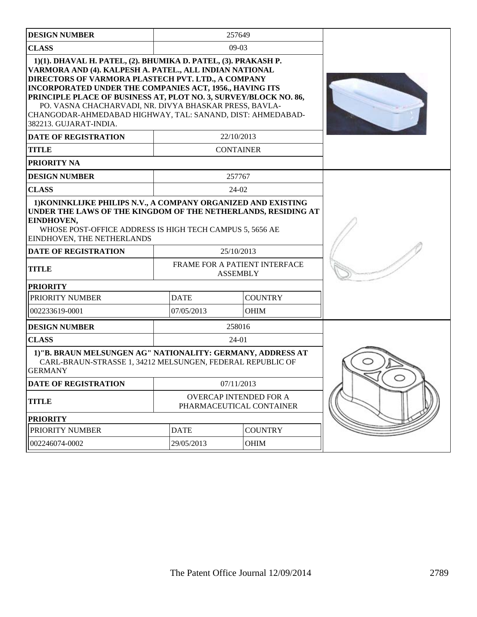| <b>DESIGN NUMBER</b>                                                                                                                                                                                                                                                                                                                                                                                                                                             |                                                  | 257649                                             |  |
|------------------------------------------------------------------------------------------------------------------------------------------------------------------------------------------------------------------------------------------------------------------------------------------------------------------------------------------------------------------------------------------------------------------------------------------------------------------|--------------------------------------------------|----------------------------------------------------|--|
| <b>CLASS</b>                                                                                                                                                                                                                                                                                                                                                                                                                                                     |                                                  | $09-03$                                            |  |
| 1)(1). DHAVAL H. PATEL, (2). BHUMIKA D. PATEL, (3). PRAKASH P.<br>VARMORA AND (4). KALPESH A. PATEL., ALL INDIAN NATIONAL<br>DIRECTORS OF VARMORA PLASTECH PVT. LTD., A COMPANY<br>INCORPORATED UNDER THE COMPANIES ACT, 1956., HAVING ITS<br>PRINCIPLE PLACE OF BUSINESS AT, PLOT NO. 3, SURVEY/BLOCK NO. 86,<br>PO. VASNA CHACHARVADI, NR. DIVYA BHASKAR PRESS, BAVLA-<br>CHANGODAR-AHMEDABAD HIGHWAY, TAL: SANAND, DIST: AHMEDABAD-<br>382213. GUJARAT-INDIA. |                                                  |                                                    |  |
| <b>DATE OF REGISTRATION</b>                                                                                                                                                                                                                                                                                                                                                                                                                                      |                                                  | 22/10/2013                                         |  |
| <b>TITLE</b>                                                                                                                                                                                                                                                                                                                                                                                                                                                     |                                                  | <b>CONTAINER</b>                                   |  |
| PRIORITY NA                                                                                                                                                                                                                                                                                                                                                                                                                                                      |                                                  |                                                    |  |
| <b>DESIGN NUMBER</b>                                                                                                                                                                                                                                                                                                                                                                                                                                             |                                                  | 257767                                             |  |
| <b>CLASS</b>                                                                                                                                                                                                                                                                                                                                                                                                                                                     |                                                  | $24-02$                                            |  |
| UNDER THE LAWS OF THE KINGDOM OF THE NETHERLANDS, RESIDING AT<br>EINDHOVEN,<br>WHOSE POST-OFFICE ADDRESS IS HIGH TECH CAMPUS 5, 5656 AE<br>EINDHOVEN, THE NETHERLANDS<br><b>DATE OF REGISTRATION</b>                                                                                                                                                                                                                                                             |                                                  |                                                    |  |
| <b>TITLE</b>                                                                                                                                                                                                                                                                                                                                                                                                                                                     | FRAME FOR A PATIENT INTERFACE<br><b>ASSEMBLY</b> |                                                    |  |
| <b>PRIORITY</b>                                                                                                                                                                                                                                                                                                                                                                                                                                                  |                                                  |                                                    |  |
| PRIORITY NUMBER                                                                                                                                                                                                                                                                                                                                                                                                                                                  | <b>DATE</b>                                      | <b>COUNTRY</b>                                     |  |
| 002233619-0001                                                                                                                                                                                                                                                                                                                                                                                                                                                   | 07/05/2013                                       | <b>OHIM</b>                                        |  |
|                                                                                                                                                                                                                                                                                                                                                                                                                                                                  |                                                  |                                                    |  |
| <b>DESIGN NUMBER</b>                                                                                                                                                                                                                                                                                                                                                                                                                                             |                                                  | 258016                                             |  |
| <b>CLASS</b>                                                                                                                                                                                                                                                                                                                                                                                                                                                     |                                                  | $24-01$                                            |  |
| 1)"B. BRAUN MELSUNGEN AG" NATIONALITY: GERMANY, ADDRESS AT<br>CARL-BRAUN-STRASSE 1, 34212 MELSUNGEN, FEDERAL REPUBLIC OF<br><b>GERMANY</b>                                                                                                                                                                                                                                                                                                                       |                                                  |                                                    |  |
| <b>DATE OF REGISTRATION</b>                                                                                                                                                                                                                                                                                                                                                                                                                                      |                                                  | 07/11/2013                                         |  |
| <b>TITLE</b>                                                                                                                                                                                                                                                                                                                                                                                                                                                     |                                                  | OVERCAP INTENDED FOR A<br>PHARMACEUTICAL CONTAINER |  |
| <b>PRIORITY</b>                                                                                                                                                                                                                                                                                                                                                                                                                                                  |                                                  |                                                    |  |
| PRIORITY NUMBER                                                                                                                                                                                                                                                                                                                                                                                                                                                  | <b>DATE</b>                                      | <b>COUNTRY</b>                                     |  |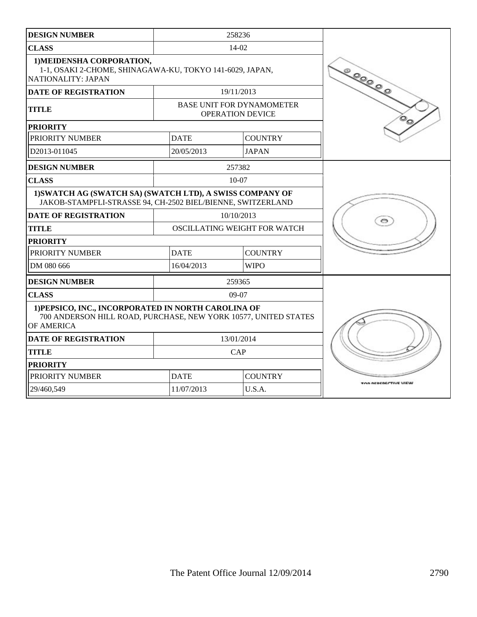| <b>DESIGN NUMBER</b>                                                                                                                 |               | 258236                                                      |                      |
|--------------------------------------------------------------------------------------------------------------------------------------|---------------|-------------------------------------------------------------|----------------------|
| <b>CLASS</b>                                                                                                                         |               | $14-02$                                                     |                      |
| 1) MEIDENSHA CORPORATION,<br>1-1, OSAKI 2-CHOME, SHINAGAWA-KU, TOKYO 141-6029, JAPAN,<br>NATIONALITY: JAPAN                          | <b>COOOOO</b> |                                                             |                      |
| <b>DATE OF REGISTRATION</b>                                                                                                          |               | 19/11/2013                                                  |                      |
| <b>TITLE</b>                                                                                                                         |               | <b>BASE UNIT FOR DYNAMOMETER</b><br><b>OPERATION DEVICE</b> |                      |
| <b>PRIORITY</b>                                                                                                                      |               |                                                             |                      |
| PRIORITY NUMBER                                                                                                                      | <b>DATE</b>   | <b>COUNTRY</b>                                              |                      |
| D <sub>2013</sub> -011045                                                                                                            | 20/05/2013    | <b>JAPAN</b>                                                |                      |
| <b>DESIGN NUMBER</b>                                                                                                                 |               | 257382                                                      |                      |
| <b>CLASS</b>                                                                                                                         |               | $10-07$                                                     |                      |
| 1) SWATCH AG (SWATCH SA) (SWATCH LTD), A SWISS COMPANY OF<br>JAKOB-STAMPFLI-STRASSE 94, CH-2502 BIEL/BIENNE, SWITZERLAND             |               |                                                             |                      |
| <b>DATE OF REGISTRATION</b>                                                                                                          |               | 10/10/2013                                                  |                      |
| <b>TITLE</b>                                                                                                                         |               | OSCILLATING WEIGHT FOR WATCH                                |                      |
| <b>PRIORITY</b>                                                                                                                      |               |                                                             |                      |
| PRIORITY NUMBER                                                                                                                      | <b>DATE</b>   | <b>COUNTRY</b>                                              |                      |
| DM 080 666                                                                                                                           | 16/04/2013    | <b>WIPO</b>                                                 |                      |
| <b>DESIGN NUMBER</b>                                                                                                                 |               | 259365                                                      |                      |
| <b>CLASS</b>                                                                                                                         |               | $09-07$                                                     |                      |
| 1) PEPSICO, INC., INCORPORATED IN NORTH CAROLINA OF<br>700 ANDERSON HILL ROAD, PURCHASE, NEW YORK 10577, UNITED STATES<br>OF AMERICA |               |                                                             |                      |
| <b>DATE OF REGISTRATION</b>                                                                                                          |               | 13/01/2014                                                  |                      |
| <b>TITLE</b>                                                                                                                         |               | CAP                                                         |                      |
| <b>PRIORITY</b>                                                                                                                      |               |                                                             |                      |
| PRIORITY NUMBER                                                                                                                      | <b>DATE</b>   | <b>COUNTRY</b>                                              | FOR REPERECTIVE VIEW |
| 29/460,549                                                                                                                           | 11/07/2013    | U.S.A.                                                      |                      |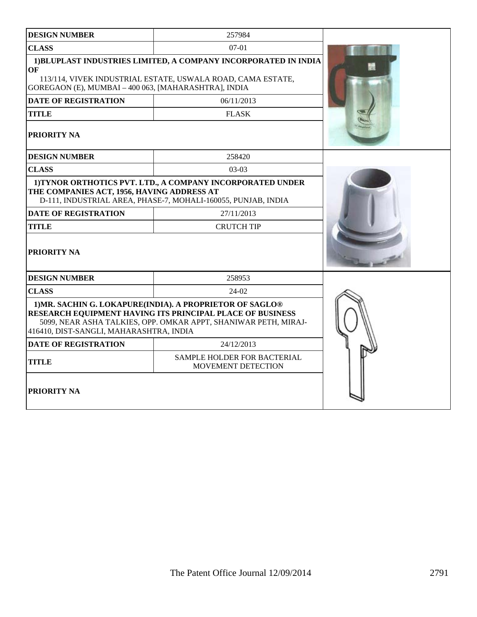| <b>DESIGN NUMBER</b>                                       | 257984                                                                                                                                                                                   |  |
|------------------------------------------------------------|------------------------------------------------------------------------------------------------------------------------------------------------------------------------------------------|--|
| <b>CLASS</b>                                               | $07-01$                                                                                                                                                                                  |  |
| OF<br>GOREGAON (E), MUMBAI - 400 063, [MAHARASHTRA], INDIA | 1) BLUPLAST INDUSTRIES LIMITED, A COMPANY INCORPORATED IN INDIA<br>113/114, VIVEK INDUSTRIAL ESTATE, USWALA ROAD, CAMA ESTATE,                                                           |  |
| DATE OF REGISTRATION                                       | 06/11/2013                                                                                                                                                                               |  |
| <b>TITLE</b>                                               | <b>FLASK</b>                                                                                                                                                                             |  |
| <b>PRIORITY NA</b>                                         |                                                                                                                                                                                          |  |
| <b>DESIGN NUMBER</b>                                       | 258420                                                                                                                                                                                   |  |
| <b>CLASS</b>                                               | $03-03$                                                                                                                                                                                  |  |
| THE COMPANIES ACT, 1956, HAVING ADDRESS AT                 | 1) TYNOR ORTHOTICS PVT. LTD., A COMPANY INCORPORATED UNDER<br>D-111, INDUSTRIAL AREA, PHASE-7, MOHALI-160055, PUNJAB, INDIA                                                              |  |
| <b>DATE OF REGISTRATION</b>                                | 27/11/2013                                                                                                                                                                               |  |
| <b>TITLE</b>                                               | <b>CRUTCH TIP</b>                                                                                                                                                                        |  |
| <b>PRIORITY NA</b>                                         |                                                                                                                                                                                          |  |
| <b>DESIGN NUMBER</b>                                       | 258953                                                                                                                                                                                   |  |
| <b>CLASS</b>                                               | 24-02                                                                                                                                                                                    |  |
| 416410, DIST-SANGLI, MAHARASHTRA, INDIA                    | 1) MR. SACHIN G. LOKAPURE(INDIA). A PROPRIETOR OF SAGLO®<br>RESEARCH EQUIPMENT HAVING ITS PRINCIPAL PLACE OF BUSINESS<br>5099, NEAR ASHA TALKIES, OPP. OMKAR APPT, SHANIWAR PETH, MIRAJ- |  |
| <b>DATE OF REGISTRATION</b>                                | 24/12/2013                                                                                                                                                                               |  |
| <b>TITLE</b>                                               | SAMPLE HOLDER FOR BACTERIAL<br>MOVEMENT DETECTION                                                                                                                                        |  |
| <b>PRIORITY NA</b>                                         |                                                                                                                                                                                          |  |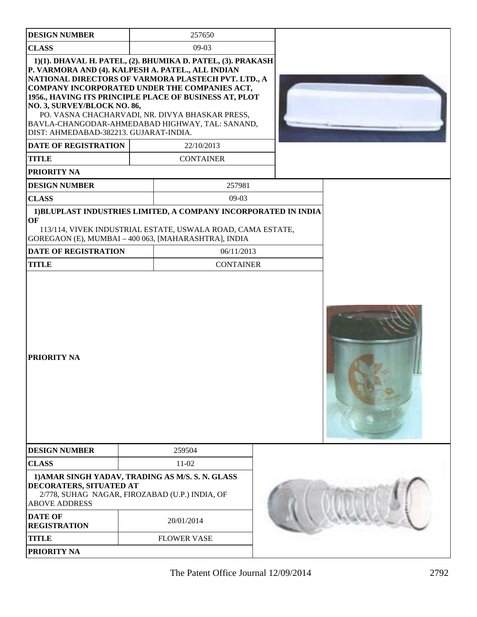| <b>DESIGN NUMBER</b>                                                                                                                                                                                                                                                                                                                                                                                                                                                                                 | 257650                                                                                        |  |  |
|------------------------------------------------------------------------------------------------------------------------------------------------------------------------------------------------------------------------------------------------------------------------------------------------------------------------------------------------------------------------------------------------------------------------------------------------------------------------------------------------------|-----------------------------------------------------------------------------------------------|--|--|
| <b>CLASS</b>                                                                                                                                                                                                                                                                                                                                                                                                                                                                                         | $09-03$                                                                                       |  |  |
| 1)(1). DHAVAL H. PATEL, (2). BHUMIKA D. PATEL, (3). PRAKASH<br>P. VARMORA AND (4). KALPESH A. PATEL., ALL INDIAN<br>NATIONAL DIRECTORS OF VARMORA PLASTECH PVT. LTD., A<br>COMPANY INCORPORATED UNDER THE COMPANIES ACT,<br>1956., HAVING ITS PRINCIPLE PLACE OF BUSINESS AT, PLOT<br>NO. 3, SURVEY/BLOCK NO. 86,<br>BAVLA-CHANGODAR-AHMEDABAD HIGHWAY, TAL: SANAND,<br>DIST: AHMEDABAD-382213. GUJARAT-INDIA.<br><b>DATE OF REGISTRATION</b><br><b>TITLE</b><br>PRIORITY NA<br><b>DESIGN NUMBER</b> | PO. VASNA CHACHARVADI, NR. DIVYA BHASKAR PRESS,<br>22/10/2013<br><b>CONTAINER</b><br>257981   |  |  |
| <b>CLASS</b>                                                                                                                                                                                                                                                                                                                                                                                                                                                                                         | $09-03$                                                                                       |  |  |
| 1) BLUPLAST INDUSTRIES LIMITED, A COMPANY INCORPORATED IN INDIA<br>OF<br>GOREGAON (E), MUMBAI - 400 063, [MAHARASHTRA], INDIA<br><b>DATE OF REGISTRATION</b><br><b>TITLE</b><br><b>PRIORITY NA</b>                                                                                                                                                                                                                                                                                                   | 113/114, VIVEK INDUSTRIAL ESTATE, USWALA ROAD, CAMA ESTATE,<br>06/11/2013<br><b>CONTAINER</b> |  |  |
| <b>DESIGN NUMBER</b>                                                                                                                                                                                                                                                                                                                                                                                                                                                                                 | 259504                                                                                        |  |  |
| <b>CLASS</b>                                                                                                                                                                                                                                                                                                                                                                                                                                                                                         | $11-02$                                                                                       |  |  |
| 1) AMAR SINGH YADAV, TRADING AS M/S. S. N. GLASS<br>DECORATERS, SITUATED AT<br>2/778, SUHAG NAGAR, FIROZABAD (U.P.) INDIA, OF<br><b>ABOVE ADDRESS</b>                                                                                                                                                                                                                                                                                                                                                |                                                                                               |  |  |
| <b>DATE OF</b><br><b>REGISTRATION</b>                                                                                                                                                                                                                                                                                                                                                                                                                                                                | 20/01/2014                                                                                    |  |  |
| <b>TITLE</b>                                                                                                                                                                                                                                                                                                                                                                                                                                                                                         | <b>FLOWER VASE</b>                                                                            |  |  |
| <b>PRIORITY NA</b>                                                                                                                                                                                                                                                                                                                                                                                                                                                                                   |                                                                                               |  |  |
|                                                                                                                                                                                                                                                                                                                                                                                                                                                                                                      |                                                                                               |  |  |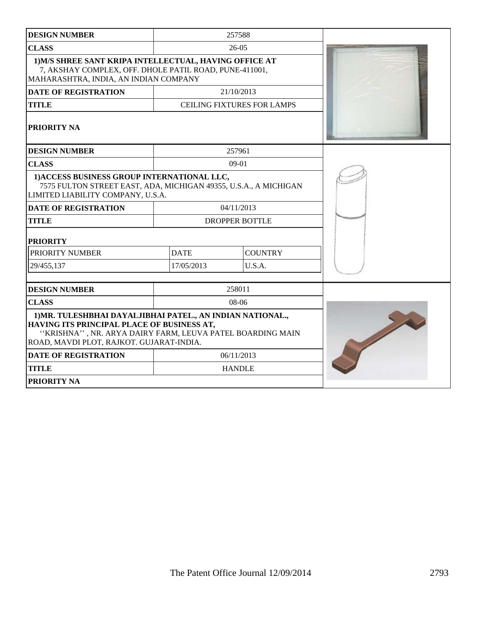| <b>DESIGN NUMBER</b>                                                                                                                                                                                              |                       | 257588                            |  |
|-------------------------------------------------------------------------------------------------------------------------------------------------------------------------------------------------------------------|-----------------------|-----------------------------------|--|
| <b>CLASS</b>                                                                                                                                                                                                      |                       | $26-05$                           |  |
| 1) M/S SHREE SANT KRIPA INTELLECTUAL, HAVING OFFICE AT<br>7, AKSHAY COMPLEX, OFF. DHOLE PATIL ROAD, PUNE-411001,<br>MAHARASHTRA, INDIA, AN INDIAN COMPANY                                                         |                       |                                   |  |
| <b>DATE OF REGISTRATION</b>                                                                                                                                                                                       |                       | 21/10/2013                        |  |
| <b>TITLE</b>                                                                                                                                                                                                      |                       | <b>CEILING FIXTURES FOR LAMPS</b> |  |
| <b>PRIORITY NA</b>                                                                                                                                                                                                |                       |                                   |  |
| <b>DESIGN NUMBER</b>                                                                                                                                                                                              |                       | 257961                            |  |
| <b>CLASS</b>                                                                                                                                                                                                      |                       | $09-01$                           |  |
| 1) ACCESS BUSINESS GROUP INTERNATIONAL LLC,<br>7575 FULTON STREET EAST, ADA, MICHIGAN 49355, U.S.A., A MICHIGAN<br>LIMITED LIABILITY COMPANY, U.S.A.                                                              |                       |                                   |  |
| <b>DATE OF REGISTRATION</b>                                                                                                                                                                                       | 04/11/2013            |                                   |  |
| <b>TITLE</b>                                                                                                                                                                                                      | <b>DROPPER BOTTLE</b> |                                   |  |
| <b>PRIORITY</b>                                                                                                                                                                                                   |                       |                                   |  |
| PRIORITY NUMBER                                                                                                                                                                                                   | <b>DATE</b>           | <b>COUNTRY</b>                    |  |
| 29/455,137                                                                                                                                                                                                        | 17/05/2013            | U.S.A.                            |  |
| <b>DESIGN NUMBER</b>                                                                                                                                                                                              |                       | 258011                            |  |
| <b>CLASS</b>                                                                                                                                                                                                      |                       | 08-06                             |  |
| 1) MR. TULESHBHAI DAYALJIBHAI PATEL., AN INDIAN NATIONAL.,<br>HAVING ITS PRINCIPAL PLACE OF BUSINESS AT,<br>"KRISHNA", NR. ARYA DAIRY FARM, LEUVA PATEL BOARDING MAIN<br>ROAD, MAVDI PLOT, RAJKOT. GUJARAT-INDIA. |                       |                                   |  |
| <b>DATE OF REGISTRATION</b>                                                                                                                                                                                       | 06/11/2013            |                                   |  |
| <b>TITLE</b>                                                                                                                                                                                                      |                       | <b>HANDLE</b>                     |  |
| <b>PRIORITY NA</b>                                                                                                                                                                                                |                       |                                   |  |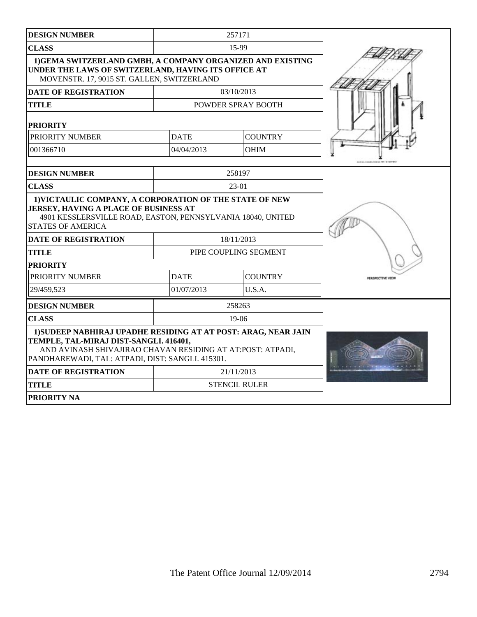| <b>DESIGN NUMBER</b>                                                                                                                                                                                                        |                                     | 257171               |                        |
|-----------------------------------------------------------------------------------------------------------------------------------------------------------------------------------------------------------------------------|-------------------------------------|----------------------|------------------------|
| <b>CLASS</b>                                                                                                                                                                                                                | 15-99                               |                      |                        |
| 1) GEMA SWITZERLAND GMBH, A COMPANY ORGANIZED AND EXISTING<br>UNDER THE LAWS OF SWITZERLAND, HAVING ITS OFFICE AT<br>MOVENSTR. 17, 9015 ST. GALLEN, SWITZERLAND                                                             |                                     |                      |                        |
| <b>DATE OF REGISTRATION</b>                                                                                                                                                                                                 |                                     | 03/10/2013           |                        |
| <b>TITLE</b>                                                                                                                                                                                                                |                                     | POWDER SPRAY BOOTH   |                        |
| <b>PRIORITY</b>                                                                                                                                                                                                             |                                     |                      |                        |
| PRIORITY NUMBER                                                                                                                                                                                                             | <b>DATE</b>                         | <b>COUNTRY</b>       |                        |
| 001366710                                                                                                                                                                                                                   | 04/04/2013                          | <b>OHIM</b>          |                        |
|                                                                                                                                                                                                                             |                                     |                      |                        |
| <b>DESIGN NUMBER</b>                                                                                                                                                                                                        |                                     | 258197               |                        |
| <b>CLASS</b>                                                                                                                                                                                                                |                                     | 23-01                |                        |
| JERSEY, HAVING A PLACE OF BUSINESS AT<br>4901 KESSLERSVILLE ROAD, EASTON, PENNSYLVANIA 18040, UNITED<br><b>STATES OF AMERICA</b><br><b>DATE OF REGISTRATION</b>                                                             |                                     |                      |                        |
| <b>TITLE</b>                                                                                                                                                                                                                | 18/11/2013<br>PIPE COUPLING SEGMENT |                      |                        |
|                                                                                                                                                                                                                             |                                     |                      |                        |
| <b>PRIORITY</b><br>PRIORITY NUMBER                                                                                                                                                                                          | <b>DATE</b>                         | <b>COUNTRY</b>       | <b>PERSPECTIVE VIE</b> |
| 29/459,523                                                                                                                                                                                                                  | 01/07/2013                          | U.S.A.               |                        |
| <b>DESIGN NUMBER</b>                                                                                                                                                                                                        |                                     | 258263               |                        |
| <b>CLASS</b>                                                                                                                                                                                                                |                                     | $19-06$              |                        |
| 1) SUDEEP NABHIRAJ UPADHE RESIDING AT AT POST: ARAG, NEAR JAIN<br>TEMPLE, TAL-MIRAJ DIST-SANGLI. 416401,<br>AND AVINASH SHIVAJIRAO CHAVAN RESIDING AT AT: POST: ATPADI,<br>PANDHAREWADI, TAL: ATPADI, DIST: SANGLI. 415301. |                                     |                      |                        |
| <b>DATE OF REGISTRATION</b>                                                                                                                                                                                                 |                                     | 21/11/2013           |                        |
| <b>TITLE</b>                                                                                                                                                                                                                |                                     | <b>STENCIL RULER</b> |                        |
| <b>PRIORITY NA</b>                                                                                                                                                                                                          |                                     |                      |                        |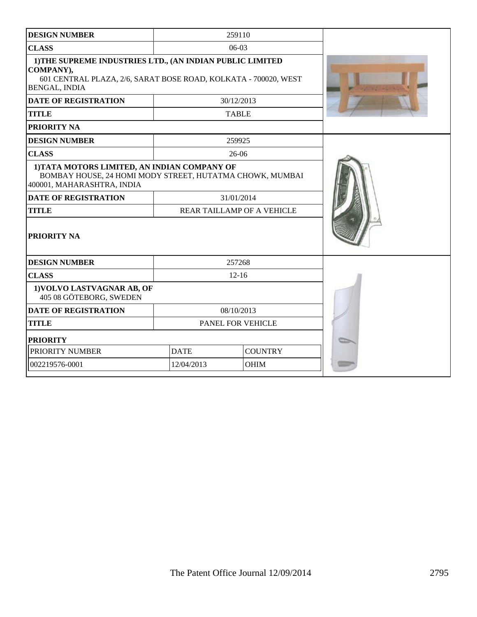| <b>DESIGN NUMBER</b>                                                                                                                                              |                               | 259110                     |  |
|-------------------------------------------------------------------------------------------------------------------------------------------------------------------|-------------------------------|----------------------------|--|
| <b>CLASS</b>                                                                                                                                                      | $06-03$                       |                            |  |
| 1) THE SUPREME INDUSTRIES LTD., (AN INDIAN PUBLIC LIMITED<br>COMPANY),<br>601 CENTRAL PLAZA, 2/6, SARAT BOSE ROAD, KOLKATA - 700020, WEST<br><b>BENGAL, INDIA</b> |                               |                            |  |
| <b>DATE OF REGISTRATION</b>                                                                                                                                       |                               | 30/12/2013                 |  |
| <b>TITLE</b>                                                                                                                                                      |                               | <b>TABLE</b>               |  |
| <b>PRIORITY NA</b>                                                                                                                                                |                               |                            |  |
| <b>DESIGN NUMBER</b>                                                                                                                                              |                               | 259925                     |  |
| <b>CLASS</b>                                                                                                                                                      |                               | $26-06$                    |  |
| 1) TATA MOTORS LIMITED, AN INDIAN COMPANY OF<br>BOMBAY HOUSE, 24 HOMI MODY STREET, HUTATMA CHOWK, MUMBAI<br>400001, MAHARASHTRA, INDIA                            |                               |                            |  |
| <b>DATE OF REGISTRATION</b>                                                                                                                                       |                               | 31/01/2014                 |  |
| <b>TITLE</b>                                                                                                                                                      |                               | REAR TAILLAMP OF A VEHICLE |  |
| <b>PRIORITY NA</b>                                                                                                                                                |                               |                            |  |
| <b>DESIGN NUMBER</b>                                                                                                                                              |                               | 257268                     |  |
| <b>CLASS</b>                                                                                                                                                      |                               | $12 - 16$                  |  |
| 1) VOLVO LASTVAGNAR AB, OF<br>405 08 GÖTEBORG, SWEDEN                                                                                                             |                               |                            |  |
| <b>DATE OF REGISTRATION</b>                                                                                                                                       |                               | 08/10/2013                 |  |
| <b>TITLE</b>                                                                                                                                                      | PANEL FOR VEHICLE             |                            |  |
| <b>PRIORITY</b>                                                                                                                                                   |                               |                            |  |
| PRIORITY NUMBER                                                                                                                                                   | <b>COUNTRY</b><br><b>DATE</b> |                            |  |
| 002219576-0001                                                                                                                                                    | 12/04/2013                    | <b>OHIM</b>                |  |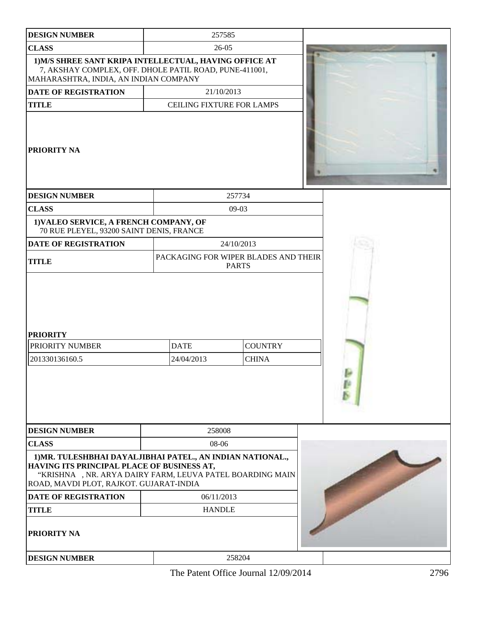| <b>DESIGN NUMBER</b>                                                                                                                                                                                             |       | 257585                           |                                                      |  |
|------------------------------------------------------------------------------------------------------------------------------------------------------------------------------------------------------------------|-------|----------------------------------|------------------------------------------------------|--|
| <b>CLASS</b>                                                                                                                                                                                                     | 26-05 |                                  |                                                      |  |
| 1) M/S SHREE SANT KRIPA INTELLECTUAL, HAVING OFFICE AT<br>7, AKSHAY COMPLEX, OFF. DHOLE PATIL ROAD, PUNE-411001,<br>MAHARASHTRA, INDIA, AN INDIAN COMPANY                                                        |       |                                  |                                                      |  |
| <b>DATE OF REGISTRATION</b>                                                                                                                                                                                      |       | 21/10/2013                       |                                                      |  |
| <b>TITLE</b>                                                                                                                                                                                                     |       | <b>CEILING FIXTURE FOR LAMPS</b> |                                                      |  |
| <b>PRIORITY NA</b>                                                                                                                                                                                               |       |                                  |                                                      |  |
| <b>DESIGN NUMBER</b>                                                                                                                                                                                             |       |                                  | 257734                                               |  |
| <b>CLASS</b>                                                                                                                                                                                                     |       |                                  | $09-03$                                              |  |
| 1) VALEO SERVICE, A FRENCH COMPANY, OF<br>70 RUE PLEYEL, 93200 SAINT DENIS, FRANCE                                                                                                                               |       |                                  |                                                      |  |
| <b>DATE OF REGISTRATION</b>                                                                                                                                                                                      |       |                                  | 24/10/2013                                           |  |
| <b>TITLE</b>                                                                                                                                                                                                     |       |                                  | PACKAGING FOR WIPER BLADES AND THEIR<br><b>PARTS</b> |  |
| <b>PRIORITY</b>                                                                                                                                                                                                  |       |                                  |                                                      |  |
| PRIORITY NUMBER                                                                                                                                                                                                  |       | <b>DATE</b>                      | <b>COUNTRY</b>                                       |  |
| 201330136160.5                                                                                                                                                                                                   |       | 24/04/2013                       | <b>CHINA</b>                                         |  |
| <b>DESIGN NUMBER</b>                                                                                                                                                                                             |       | 258008                           |                                                      |  |
| <b>CLASS</b>                                                                                                                                                                                                     |       | 08-06                            |                                                      |  |
| 1) MR. TULESHBHAI DAYALJIBHAI PATEL., AN INDIAN NATIONAL.,<br>HAVING ITS PRINCIPAL PLACE OF BUSINESS AT,<br>"KRISHNA , NR. ARYA DAIRY FARM, LEUVA PATEL BOARDING MAIN<br>ROAD, MAVDI PLOT, RAJKOT. GUJARAT-INDIA |       |                                  |                                                      |  |
| <b>DATE OF REGISTRATION</b>                                                                                                                                                                                      |       | 06/11/2013                       |                                                      |  |
| <b>TITLE</b>                                                                                                                                                                                                     |       | <b>HANDLE</b>                    |                                                      |  |
| PRIORITY NA                                                                                                                                                                                                      |       |                                  |                                                      |  |
| <b>DESIGN NUMBER</b>                                                                                                                                                                                             |       |                                  | 258204                                               |  |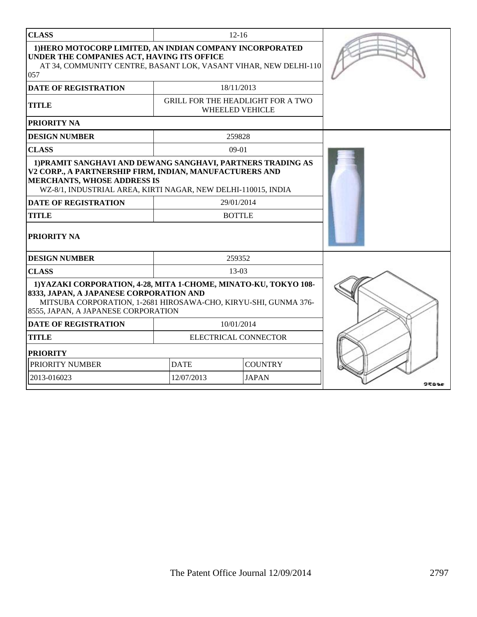| <b>CLASS</b>                                                                                                                                                                                                                                                                                       |                               | $12 - 16$                                                          |  |
|----------------------------------------------------------------------------------------------------------------------------------------------------------------------------------------------------------------------------------------------------------------------------------------------------|-------------------------------|--------------------------------------------------------------------|--|
| 1) HERO MOTOCORP LIMITED, AN INDIAN COMPANY INCORPORATED<br>UNDER THE COMPANIES ACT, HAVING ITS OFFICE<br>AT 34, COMMUNITY CENTRE, BASANT LOK, VASANT VIHAR, NEW DELHI-110<br>057                                                                                                                  |                               |                                                                    |  |
| <b>DATE OF REGISTRATION</b>                                                                                                                                                                                                                                                                        |                               | 18/11/2013                                                         |  |
| <b>TITLE</b>                                                                                                                                                                                                                                                                                       |                               | <b>GRILL FOR THE HEADLIGHT FOR A TWO</b><br><b>WHEELED VEHICLE</b> |  |
| <b>PRIORITY NA</b>                                                                                                                                                                                                                                                                                 |                               |                                                                    |  |
| <b>DESIGN NUMBER</b>                                                                                                                                                                                                                                                                               |                               | 259828                                                             |  |
| <b>CLASS</b>                                                                                                                                                                                                                                                                                       |                               | $09-01$                                                            |  |
| 1) PRAMIT SANGHAVI AND DEWANG SANGHAVI, PARTNERS TRADING AS<br>V2 CORP., A PARTNERSHIP FIRM, INDIAN, MANUFACTURERS AND<br><b>MERCHANTS, WHOSE ADDRESS IS</b><br>WZ-8/1, INDUSTRIAL AREA, KIRTI NAGAR, NEW DELHI-110015, INDIA<br><b>DATE OF REGISTRATION</b><br><b>TITLE</b><br><b>PRIORITY NA</b> |                               | 29/01/2014<br><b>BOTTLE</b>                                        |  |
| <b>DESIGN NUMBER</b>                                                                                                                                                                                                                                                                               |                               | 259352                                                             |  |
| <b>CLASS</b>                                                                                                                                                                                                                                                                                       |                               | 13-03                                                              |  |
| 1) YAZAKI CORPORATION, 4-28, MITA 1-CHOME, MINATO-KU, TOKYO 108-<br>8333, JAPAN, A JAPANESE CORPORATION AND<br>MITSUBA CORPORATION, 1-2681 HIROSAWA-CHO, KIRYU-SHI, GUNMA 376-<br>8555, JAPAN, A JAPANESE CORPORATION<br><b>DATE OF REGISTRATION</b>                                               |                               |                                                                    |  |
| <b>TITLE</b>                                                                                                                                                                                                                                                                                       |                               | ELECTRICAL CONNECTOR                                               |  |
| <b>PRIORITY</b>                                                                                                                                                                                                                                                                                    |                               |                                                                    |  |
| PRIORITY NUMBER                                                                                                                                                                                                                                                                                    | <b>DATE</b><br><b>COUNTRY</b> |                                                                    |  |
| 2013-016023                                                                                                                                                                                                                                                                                        | 12/07/2013                    | <b>JAPAN</b>                                                       |  |
|                                                                                                                                                                                                                                                                                                    |                               |                                                                    |  |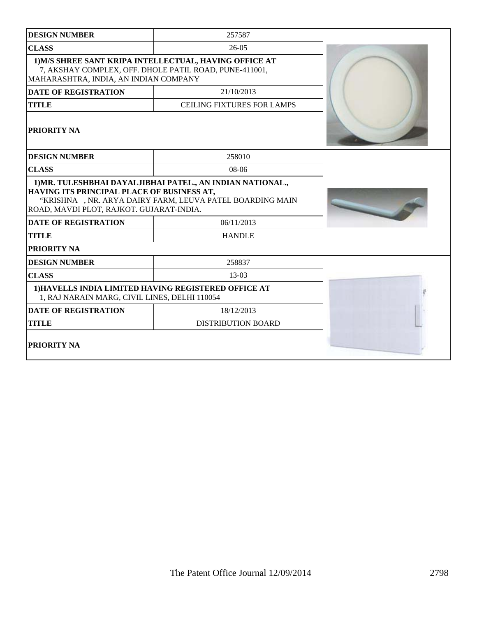| <b>DESIGN NUMBER</b>                                                                                                                                                                                               | 257587                            |  |
|--------------------------------------------------------------------------------------------------------------------------------------------------------------------------------------------------------------------|-----------------------------------|--|
| <b>CLASS</b>                                                                                                                                                                                                       | $26-05$                           |  |
| 1) M/S SHREE SANT KRIPA INTELLECTUAL, HAVING OFFICE AT<br>7, AKSHAY COMPLEX, OFF. DHOLE PATIL ROAD, PUNE-411001,<br>MAHARASHTRA, INDIA, AN INDIAN COMPANY                                                          |                                   |  |
| <b>DATE OF REGISTRATION</b>                                                                                                                                                                                        | 21/10/2013                        |  |
| <b>TITLE</b>                                                                                                                                                                                                       | <b>CEILING FIXTURES FOR LAMPS</b> |  |
| <b>PRIORITY NA</b>                                                                                                                                                                                                 |                                   |  |
| <b>DESIGN NUMBER</b>                                                                                                                                                                                               | 258010                            |  |
| <b>CLASS</b>                                                                                                                                                                                                       | $08-06$                           |  |
| 1) MR. TULESHBHAI DAYAL JIBHAI PATEL., AN INDIAN NATIONAL.,<br>HAVING ITS PRINCIPAL PLACE OF BUSINESS AT,<br>"KRISHNA , NR. ARYA DAIRY FARM, LEUVA PATEL BOARDING MAIN<br>ROAD, MAVDI PLOT, RAJKOT. GUJARAT-INDIA. |                                   |  |
| <b>DATE OF REGISTRATION</b>                                                                                                                                                                                        | 06/11/2013                        |  |
| <b>TITLE</b>                                                                                                                                                                                                       | <b>HANDLE</b>                     |  |
| PRIORITY NA                                                                                                                                                                                                        |                                   |  |
| <b>DESIGN NUMBER</b>                                                                                                                                                                                               | 258837                            |  |
| <b>CLASS</b>                                                                                                                                                                                                       | 13-03                             |  |
| 1) HAVELLS INDIA LIMITED HAVING REGISTERED OFFICE AT<br>1, RAJ NARAIN MARG, CIVIL LINES, DELHI 110054                                                                                                              |                                   |  |
| <b>DATE OF REGISTRATION</b>                                                                                                                                                                                        | 18/12/2013                        |  |
| <b>TITLE</b>                                                                                                                                                                                                       | <b>DISTRIBUTION BOARD</b>         |  |
| PRIORITY NA                                                                                                                                                                                                        |                                   |  |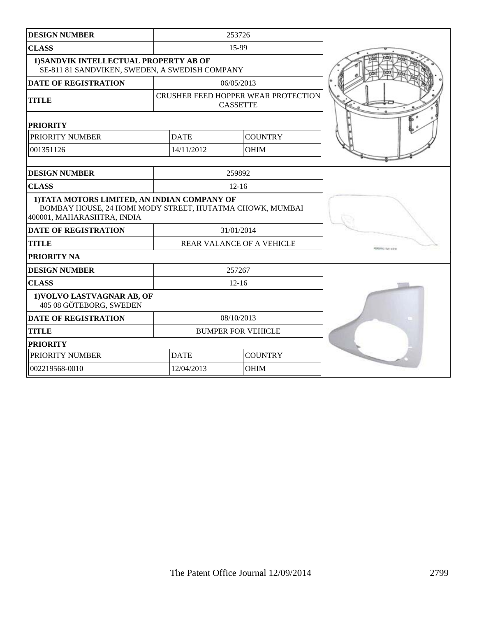| <b>DESIGN NUMBER</b>                                                                                                                   |                           | 253726                                                 |                         |
|----------------------------------------------------------------------------------------------------------------------------------------|---------------------------|--------------------------------------------------------|-------------------------|
| <b>CLASS</b>                                                                                                                           |                           | 15-99                                                  |                         |
| 1) SANDVIK INTELLECTUAL PROPERTY AB OF<br>SE-811 81 SANDVIKEN, SWEDEN, A SWEDISH COMPANY                                               |                           |                                                        |                         |
| <b>DATE OF REGISTRATION</b>                                                                                                            |                           | 06/05/2013                                             |                         |
| <b>TITLE</b>                                                                                                                           |                           | CRUSHER FEED HOPPER WEAR PROTECTION<br><b>CASSETTE</b> |                         |
| <b>PRIORITY</b>                                                                                                                        |                           |                                                        |                         |
| PRIORITY NUMBER                                                                                                                        | <b>DATE</b>               | <b>COUNTRY</b>                                         |                         |
| 001351126                                                                                                                              | 14/11/2012                | <b>OHIM</b>                                            |                         |
| <b>DESIGN NUMBER</b>                                                                                                                   |                           | 259892                                                 |                         |
| <b>CLASS</b>                                                                                                                           |                           | $12 - 16$                                              |                         |
| 1) TATA MOTORS LIMITED, AN INDIAN COMPANY OF<br>BOMBAY HOUSE, 24 HOMI MODY STREET, HUTATMA CHOWK, MUMBAI<br>400001, MAHARASHTRA, INDIA |                           |                                                        |                         |
| <b>DATE OF REGISTRATION</b>                                                                                                            | 31/01/2014                |                                                        |                         |
| <b>TITLE</b>                                                                                                                           | REAR VALANCE OF A VEHICLE |                                                        | <b>BESINY FIVE SIZE</b> |
| PRIORITY NA                                                                                                                            |                           |                                                        |                         |
| <b>DESIGN NUMBER</b>                                                                                                                   |                           | 257267                                                 |                         |
| <b>CLASS</b>                                                                                                                           |                           | $12 - 16$                                              |                         |
| 1) VOLVO LASTVAGNAR AB, OF<br>405 08 GÖTEBORG, SWEDEN                                                                                  |                           |                                                        |                         |
| <b>DATE OF REGISTRATION</b>                                                                                                            |                           | 08/10/2013                                             |                         |
| <b>TITLE</b>                                                                                                                           |                           | <b>BUMPER FOR VEHICLE</b>                              |                         |
| <b>PRIORITY</b>                                                                                                                        |                           |                                                        |                         |
| PRIORITY NUMBER                                                                                                                        | <b>DATE</b>               | <b>COUNTRY</b>                                         |                         |
| 002219568-0010                                                                                                                         | 12/04/2013<br><b>OHIM</b> |                                                        |                         |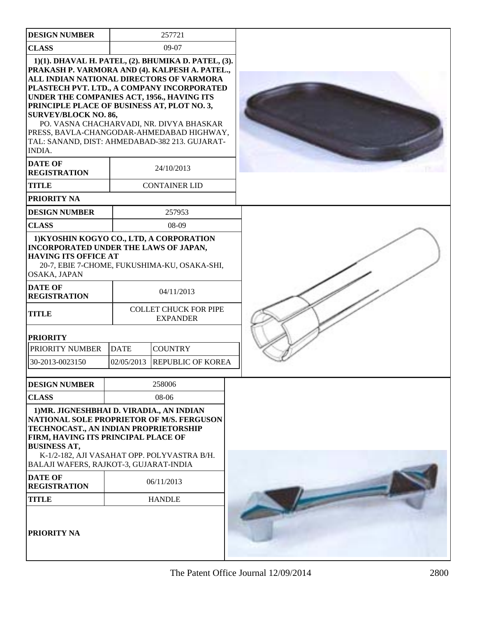| <b>DESIGN NUMBER</b>                                                                                                                                                                                                                                                                                                                                                                                                                   |                           | 257721                                                                                                                                                      |  |
|----------------------------------------------------------------------------------------------------------------------------------------------------------------------------------------------------------------------------------------------------------------------------------------------------------------------------------------------------------------------------------------------------------------------------------------|---------------------------|-------------------------------------------------------------------------------------------------------------------------------------------------------------|--|
| <b>CLASS</b>                                                                                                                                                                                                                                                                                                                                                                                                                           |                           | $09-07$                                                                                                                                                     |  |
| PRAKASH P. VARMORA AND (4). KALPESH A. PATEL.,<br>ALL INDIAN NATIONAL DIRECTORS OF VARMORA<br>PLASTECH PVT. LTD., A COMPANY INCORPORATED<br>UNDER THE COMPANIES ACT, 1956., HAVING ITS<br>PRINCIPLE PLACE OF BUSINESS AT, PLOT NO. 3,<br><b>SURVEY/BLOCK NO. 86,</b><br>PRESS, BAVLA-CHANGODAR-AHMEDABAD HIGHWAY,<br>TAL: SANAND, DIST: AHMEDABAD-382 213. GUJARAT-<br>INDIA.<br><b>DATE OF</b><br><b>REGISTRATION</b><br><b>TITLE</b> |                           | 1)(1). DHAVAL H. PATEL, (2). BHUMIKA D. PATEL, (3).<br>PO. VASNA CHACHARVADI, NR. DIVYA BHASKAR<br>24/10/2013<br><b>CONTAINER LID</b>                       |  |
| <b>PRIORITY NA</b>                                                                                                                                                                                                                                                                                                                                                                                                                     |                           |                                                                                                                                                             |  |
| <b>DESIGN NUMBER</b>                                                                                                                                                                                                                                                                                                                                                                                                                   |                           | 257953                                                                                                                                                      |  |
| <b>CLASS</b>                                                                                                                                                                                                                                                                                                                                                                                                                           |                           | 08-09                                                                                                                                                       |  |
| 1) KYOSHIN KOGYO CO., LTD, A CORPORATION<br>INCORPORATED UNDER THE LAWS OF JAPAN,<br><b>HAVING ITS OFFICE AT</b><br>OSAKA, JAPAN<br><b>DATE OF</b><br><b>REGISTRATION</b><br><b>TITLE</b><br><b>PRIORITY</b><br>PRIORITY NUMBER<br>30-2013-0023150                                                                                                                                                                                     | <b>DATE</b><br>02/05/2013 | 20-7, EBIE 7-CHOME, FUKUSHIMA-KU, OSAKA-SHI,<br>04/11/2013<br><b>COLLET CHUCK FOR PIPE</b><br><b>EXPANDER</b><br><b>COUNTRY</b><br><b>REPUBLIC OF KOREA</b> |  |
|                                                                                                                                                                                                                                                                                                                                                                                                                                        |                           |                                                                                                                                                             |  |
| <b>DESIGN NUMBER</b>                                                                                                                                                                                                                                                                                                                                                                                                                   |                           | 258006                                                                                                                                                      |  |
| <b>CLASS</b>                                                                                                                                                                                                                                                                                                                                                                                                                           |                           | 08-06                                                                                                                                                       |  |
| 1) MR. JIGNESHBHAI D. VIRADIA., AN INDIAN<br>NATIONAL SOLE PROPRIETOR OF M/S. FERGUSON<br>TECHNOCAST., AN INDIAN PROPRIETORSHIP<br>FIRM, HAVING ITS PRINCIPAL PLACE OF<br><b>BUSINESS AT,</b><br>BALAJI WAFERS, RAJKOT-3, GUJARAT-INDIA                                                                                                                                                                                                |                           | K-1/2-182, AJI VASAHAT OPP. POLYVASTRA B/H.                                                                                                                 |  |
| <b>DATE OF</b><br><b>REGISTRATION</b>                                                                                                                                                                                                                                                                                                                                                                                                  |                           | 06/11/2013                                                                                                                                                  |  |
| <b>TITLE</b>                                                                                                                                                                                                                                                                                                                                                                                                                           |                           | <b>HANDLE</b>                                                                                                                                               |  |
| PRIORITY NA                                                                                                                                                                                                                                                                                                                                                                                                                            |                           |                                                                                                                                                             |  |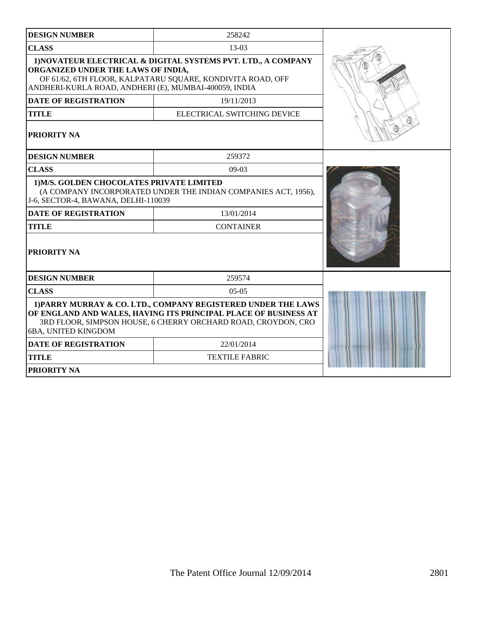| <b>DESIGN NUMBER</b>                                                                                                                                                                                                       | 258242                      |  |  |
|----------------------------------------------------------------------------------------------------------------------------------------------------------------------------------------------------------------------------|-----------------------------|--|--|
| <b>CLASS</b>                                                                                                                                                                                                               | $13-03$                     |  |  |
| 1) NOVATEUR ELECTRICAL & DIGITAL SYSTEMS PVT. LTD., A COMPANY<br>ORGANIZED UNDER THE LAWS OF INDIA,<br>OF 61/62, 6TH FLOOR, KALPATARU SQUARE, KONDIVITA ROAD, OFF<br>ANDHERI-KURLA ROAD, ANDHERI (E), MUMBAI-400059, INDIA |                             |  |  |
| <b>DATE OF REGISTRATION</b>                                                                                                                                                                                                | 19/11/2013                  |  |  |
| <b>TITLE</b>                                                                                                                                                                                                               | ELECTRICAL SWITCHING DEVICE |  |  |
| <b>PRIORITY NA</b>                                                                                                                                                                                                         |                             |  |  |
| <b>DESIGN NUMBER</b>                                                                                                                                                                                                       | 259372                      |  |  |
| <b>CLASS</b>                                                                                                                                                                                                               | $09-03$                     |  |  |
| 1) M/S. GOLDEN CHOCOLATES PRIVATE LIMITED<br>(A COMPANY INCORPORATED UNDER THE INDIAN COMPANIES ACT, 1956),<br>J-6, SECTOR-4, BAWANA, DELHI-110039                                                                         |                             |  |  |
| <b>DATE OF REGISTRATION</b>                                                                                                                                                                                                | 13/01/2014                  |  |  |
| <b>TITLE</b>                                                                                                                                                                                                               | <b>CONTAINER</b>            |  |  |
| PRIORITY NA                                                                                                                                                                                                                |                             |  |  |
| <b>DESIGN NUMBER</b>                                                                                                                                                                                                       | 259574                      |  |  |
| <b>CLASS</b><br>$0.5 - 0.5$                                                                                                                                                                                                |                             |  |  |
| 1) PARRY MURRAY & CO. LTD., COMPANY REGISTERED UNDER THE LAWS<br>OF ENGLAND AND WALES, HAVING ITS PRINCIPAL PLACE OF BUSINESS AT<br>3RD FLOOR, SIMPSON HOUSE, 6 CHERRY ORCHARD ROAD, CROYDON, CRO<br>6BA, UNITED KINGDOM   |                             |  |  |
| <b>DATE OF REGISTRATION</b>                                                                                                                                                                                                | 22/01/2014                  |  |  |
| <b>TITLE</b>                                                                                                                                                                                                               | <b>TEXTILE FABRIC</b>       |  |  |
| <b>PRIORITY NA</b>                                                                                                                                                                                                         |                             |  |  |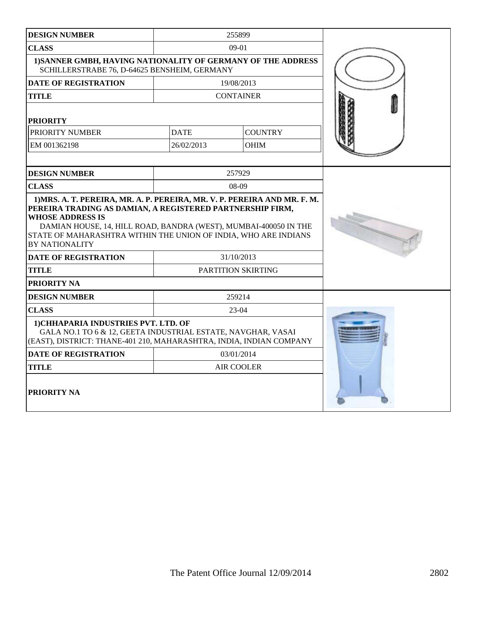| <b>DESIGN NUMBER</b>                                                                                                                                                        |             | 255899             |  |
|-----------------------------------------------------------------------------------------------------------------------------------------------------------------------------|-------------|--------------------|--|
| <b>CLASS</b>                                                                                                                                                                |             | $09-01$            |  |
| 1) SANNER GMBH, HAVING NATIONALITY OF GERMANY OF THE ADDRESS<br>SCHILLERSTRABE 76, D-64625 BENSHEIM, GERMANY                                                                |             |                    |  |
| <b>DATE OF REGISTRATION</b>                                                                                                                                                 |             | 19/08/2013         |  |
| <b>TITLE</b>                                                                                                                                                                |             | <b>CONTAINER</b>   |  |
| <b>PRIORITY</b>                                                                                                                                                             |             |                    |  |
| PRIORITY NUMBER                                                                                                                                                             | <b>DATE</b> | <b>COUNTRY</b>     |  |
| EM 001362198                                                                                                                                                                | 26/02/2013  | <b>OHIM</b>        |  |
|                                                                                                                                                                             |             |                    |  |
| <b>DESIGN NUMBER</b>                                                                                                                                                        |             | 257929             |  |
| <b>CLASS</b>                                                                                                                                                                |             | $08-09$            |  |
| DAMIAN HOUSE, 14, HILL ROAD, BANDRA (WEST), MUMBAI-400050 IN THE<br>STATE OF MAHARASHTRA WITHIN THE UNION OF INDIA, WHO ARE INDIANS<br><b>BY NATIONALITY</b>                |             |                    |  |
| <b>DATE OF REGISTRATION</b>                                                                                                                                                 |             | 31/10/2013         |  |
| TITLE                                                                                                                                                                       |             | PARTITION SKIRTING |  |
| PRIORITY NA                                                                                                                                                                 |             |                    |  |
| <b>DESIGN NUMBER</b>                                                                                                                                                        |             | 259214             |  |
| <b>CLASS</b>                                                                                                                                                                | $23-04$     |                    |  |
| 1) CHHAPARIA INDUSTRIES PVT. LTD. OF<br>GALA NO.1 TO 6 & 12, GEETA INDUSTRIAL ESTATE, NAVGHAR, VASAI<br>(EAST), DISTRICT: THANE-401 210, MAHARASHTRA, INDIA, INDIAN COMPANY |             |                    |  |
| <b>DATE OF REGISTRATION</b>                                                                                                                                                 |             | 03/01/2014         |  |
| <b>TITLE</b>                                                                                                                                                                |             | <b>AIR COOLER</b>  |  |
| PRIORITY NA                                                                                                                                                                 |             |                    |  |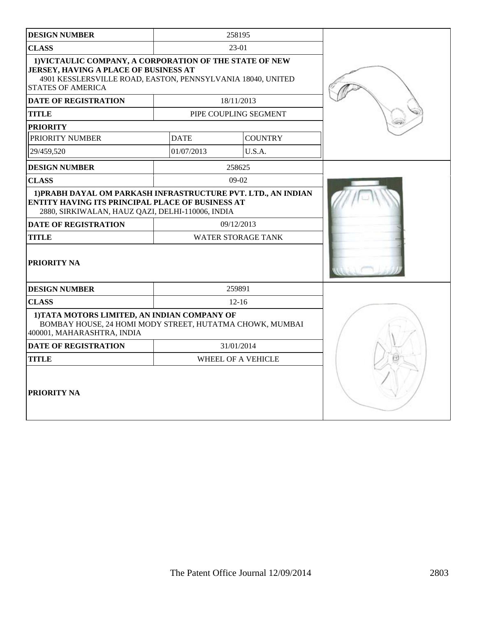| <b>DESIGN NUMBER</b>                                                                                                                                                                               |             | 258195                    |  |
|----------------------------------------------------------------------------------------------------------------------------------------------------------------------------------------------------|-------------|---------------------------|--|
| <b>CLASS</b>                                                                                                                                                                                       |             | $23-01$                   |  |
| 1) VICTAULIC COMPANY, A CORPORATION OF THE STATE OF NEW<br><b>JERSEY, HAVING A PLACE OF BUSINESS AT</b><br>4901 KESSLERSVILLE ROAD, EASTON, PENNSYLVANIA 18040, UNITED<br><b>STATES OF AMERICA</b> |             |                           |  |
| <b>DATE OF REGISTRATION</b>                                                                                                                                                                        |             | 18/11/2013                |  |
| <b>TITLE</b>                                                                                                                                                                                       |             | PIPE COUPLING SEGMENT     |  |
| <b>PRIORITY</b>                                                                                                                                                                                    |             |                           |  |
| PRIORITY NUMBER                                                                                                                                                                                    | <b>DATE</b> | <b>COUNTRY</b>            |  |
| 29/459,520                                                                                                                                                                                         | 01/07/2013  | U.S.A.                    |  |
| <b>DESIGN NUMBER</b>                                                                                                                                                                               |             | 258625                    |  |
| <b>CLASS</b>                                                                                                                                                                                       |             | $09-02$                   |  |
| 1) PRABH DAYAL OM PARKASH INFRASTRUCTURE PVT. LTD., AN INDIAN<br>ENTITY HAVING ITS PRINCIPAL PLACE OF BUSINESS AT<br>2880, SIRKIWALAN, HAUZ QAZI, DELHI-110006, INDIA                              |             |                           |  |
| <b>DATE OF REGISTRATION</b>                                                                                                                                                                        |             | 09/12/2013                |  |
| <b>TITLE</b>                                                                                                                                                                                       |             | <b>WATER STORAGE TANK</b> |  |
| PRIORITY NA                                                                                                                                                                                        |             |                           |  |
| <b>DESIGN NUMBER</b>                                                                                                                                                                               |             | 259891                    |  |
| <b>CLASS</b>                                                                                                                                                                                       |             | $12 - 16$                 |  |
| 1) TATA MOTORS LIMITED, AN INDIAN COMPANY OF<br>BOMBAY HOUSE, 24 HOMI MODY STREET, HUTATMA CHOWK, MUMBAI<br>400001, MAHARASHTRA, INDIA                                                             |             |                           |  |
| <b>DATE OF REGISTRATION</b>                                                                                                                                                                        |             | 31/01/2014                |  |
| TITLE                                                                                                                                                                                              |             | WHEEL OF A VEHICLE        |  |
| PRIORITY NA                                                                                                                                                                                        |             |                           |  |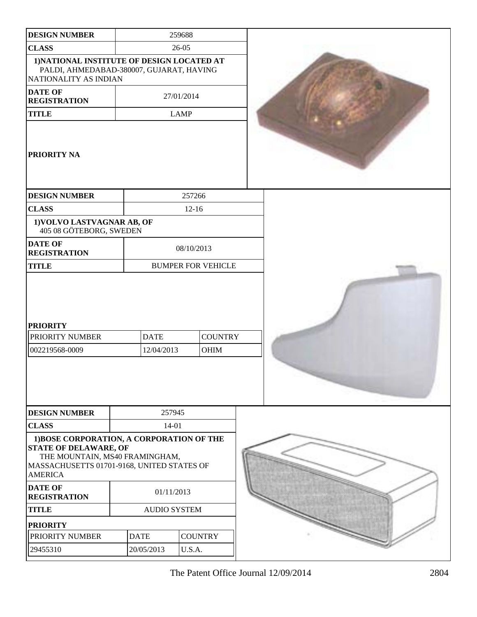| <b>DESIGN NUMBER</b>                                                                                                                                                        |                           | 259688                    |  |
|-----------------------------------------------------------------------------------------------------------------------------------------------------------------------------|---------------------------|---------------------------|--|
| <b>CLASS</b>                                                                                                                                                                |                           | $26 - 05$                 |  |
| 1) NATIONAL INSTITUTE OF DESIGN LOCATED AT<br>PALDI, AHMEDABAD-380007, GUJARAT, HAVING<br>NATIONALITY AS INDIAN                                                             |                           |                           |  |
| <b>DATE OF</b><br><b>REGISTRATION</b>                                                                                                                                       |                           | 27/01/2014                |  |
| <b>TITLE</b>                                                                                                                                                                |                           | <b>LAMP</b>               |  |
| PRIORITY NA                                                                                                                                                                 |                           |                           |  |
| <b>DESIGN NUMBER</b>                                                                                                                                                        |                           | 257266                    |  |
| <b>CLASS</b>                                                                                                                                                                |                           | $12 - 16$                 |  |
| 1) VOLVO LASTVAGNAR AB, OF<br>405 08 GÖTEBORG, SWEDEN                                                                                                                       |                           |                           |  |
| <b>DATE OF</b><br><b>REGISTRATION</b>                                                                                                                                       |                           | 08/10/2013                |  |
| <b>TITLE</b>                                                                                                                                                                |                           | <b>BUMPER FOR VEHICLE</b> |  |
| <b>PRIORITY</b><br>PRIORITY NUMBER<br>002219568-0009                                                                                                                        | <b>DATE</b><br>12/04/2013 | <b>COUNTRY</b><br>OHIM    |  |
| <b>DESIGN NUMBER</b>                                                                                                                                                        | 257945                    |                           |  |
| <b>CLASS</b>                                                                                                                                                                | 14-01                     |                           |  |
| 1) BOSE CORPORATION, A CORPORATION OF THE<br><b>STATE OF DELAWARE, OF</b><br>THE MOUNTAIN, MS40 FRAMINGHAM,<br>MASSACHUSETTS 01701-9168, UNITED STATES OF<br><b>AMERICA</b> |                           |                           |  |
| <b>DATE OF</b><br><b>REGISTRATION</b>                                                                                                                                       | 01/11/2013                |                           |  |
| <b>TITLE</b>                                                                                                                                                                | <b>AUDIO SYSTEM</b>       |                           |  |
| <b>PRIORITY</b>                                                                                                                                                             |                           |                           |  |
| PRIORITY NUMBER                                                                                                                                                             | <b>DATE</b>               | <b>COUNTRY</b>            |  |
| 29455310                                                                                                                                                                    | 20/05/2013                | U.S.A.                    |  |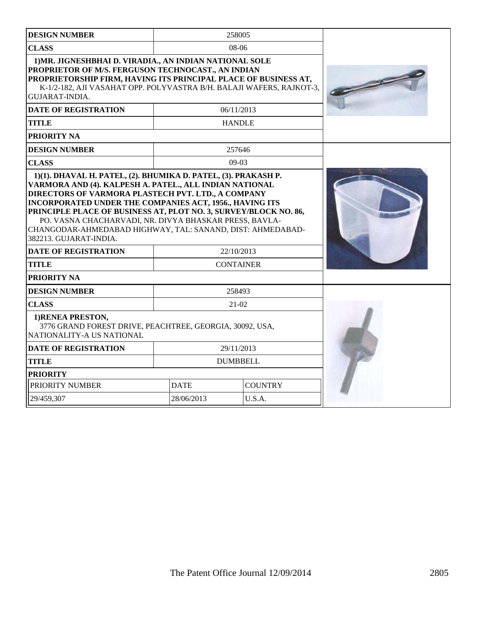| <b>DESIGN NUMBER</b>                                                                                                                                                                                                                                                                                                                       |                               | 258005        |  |
|--------------------------------------------------------------------------------------------------------------------------------------------------------------------------------------------------------------------------------------------------------------------------------------------------------------------------------------------|-------------------------------|---------------|--|
| <b>CLASS</b>                                                                                                                                                                                                                                                                                                                               |                               | $08-06$       |  |
| 1) MR. JIGNESHBHAI D. VIRADIA., AN INDIAN NATIONAL SOLE<br>PROPRIETOR OF M/S. FERGUSON TECHNOCAST., AN INDIAN<br>PROPRIETORSHIP FIRM, HAVING ITS PRINCIPAL PLACE OF BUSINESS AT,<br>K-1/2-182, AJI VASAHAT OPP. POLYVASTRA B/H. BALAJI WAFERS, RAJKOT-3,<br><b>GUJARAT-INDIA.</b>                                                          |                               |               |  |
| <b>DATE OF REGISTRATION</b>                                                                                                                                                                                                                                                                                                                |                               | 06/11/2013    |  |
| <b>TITLE</b>                                                                                                                                                                                                                                                                                                                               |                               | <b>HANDLE</b> |  |
| PRIORITY NA                                                                                                                                                                                                                                                                                                                                |                               |               |  |
| <b>DESIGN NUMBER</b>                                                                                                                                                                                                                                                                                                                       |                               | 257646        |  |
| <b>CLASS</b>                                                                                                                                                                                                                                                                                                                               |                               | $09-03$       |  |
| DIRECTORS OF VARMORA PLASTECH PVT. LTD., A COMPANY<br><b>INCORPORATED UNDER THE COMPANIES ACT, 1956., HAVING ITS</b><br>PRINCIPLE PLACE OF BUSINESS AT, PLOT NO. 3, SURVEY/BLOCK NO. 86,<br>PO. VASNA CHACHARVADI, NR. DIVYA BHASKAR PRESS, BAVLA-<br>CHANGODAR-AHMEDABAD HIGHWAY, TAL: SANAND, DIST: AHMEDABAD-<br>382213. GUJARAT-INDIA. |                               |               |  |
| <b>DATE OF REGISTRATION</b>                                                                                                                                                                                                                                                                                                                | 22/10/2013                    |               |  |
| TITLE                                                                                                                                                                                                                                                                                                                                      | <b>CONTAINER</b>              |               |  |
| PRIORITY NA                                                                                                                                                                                                                                                                                                                                |                               |               |  |
| <b>DESIGN NUMBER</b>                                                                                                                                                                                                                                                                                                                       |                               | 258493        |  |
| <b>CLASS</b>                                                                                                                                                                                                                                                                                                                               | $21 - 02$                     |               |  |
| 1) RENEA PRESTON,<br>3776 GRAND FOREST DRIVE, PEACHTREE, GEORGIA, 30092, USA,<br>NATIONALITY-A US NATIONAL                                                                                                                                                                                                                                 |                               |               |  |
| <b>DATE OF REGISTRATION</b>                                                                                                                                                                                                                                                                                                                | 29/11/2013                    |               |  |
| <b>TITLE</b>                                                                                                                                                                                                                                                                                                                               | <b>DUMBBELL</b>               |               |  |
| <b>PRIORITY</b>                                                                                                                                                                                                                                                                                                                            |                               |               |  |
| PRIORITY NUMBER                                                                                                                                                                                                                                                                                                                            | <b>DATE</b><br><b>COUNTRY</b> |               |  |
| 29/459,307                                                                                                                                                                                                                                                                                                                                 | 28/06/2013                    | U.S.A.        |  |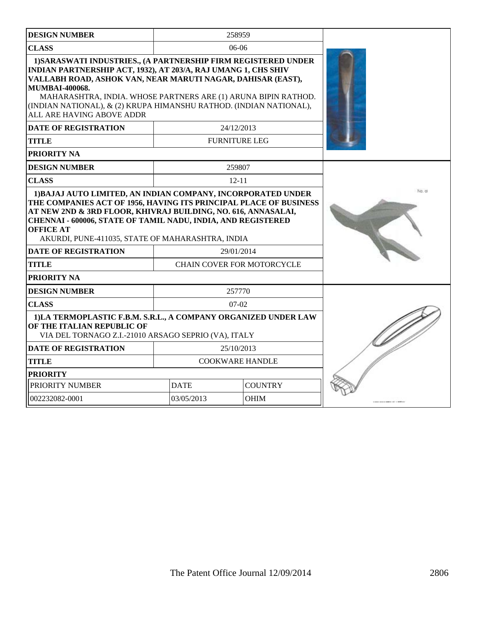| <b>DESIGN NUMBER</b>                                                                                                                                                                                                                                                                                                                                                                          |                               | 258959                            |  |
|-----------------------------------------------------------------------------------------------------------------------------------------------------------------------------------------------------------------------------------------------------------------------------------------------------------------------------------------------------------------------------------------------|-------------------------------|-----------------------------------|--|
| <b>CLASS</b>                                                                                                                                                                                                                                                                                                                                                                                  | $06-06$                       |                                   |  |
| 1) SARASWATI INDUSTRIES., (A PARTNERSHIP FIRM REGISTERED UNDER<br>INDIAN PARTNERSHIP ACT, 1932), AT 203/A, RAJ UMANG 1, CHS SHIV<br>VALLABH ROAD, ASHOK VAN, NEAR MARUTI NAGAR, DAHISAR (EAST),<br><b>MUMBAI-400068.</b><br>MAHARASHTRA, INDIA. WHOSE PARTNERS ARE (1) ARUNA BIPIN RATHOD.<br>(INDIAN NATIONAL), & (2) KRUPA HIMANSHU RATHOD. (INDIAN NATIONAL),<br>ALL ARE HAVING ABOVE ADDR |                               |                                   |  |
| <b>DATE OF REGISTRATION</b>                                                                                                                                                                                                                                                                                                                                                                   |                               | 24/12/2013                        |  |
| <b>TITLE</b>                                                                                                                                                                                                                                                                                                                                                                                  |                               | <b>FURNITURE LEG</b>              |  |
| <b>PRIORITY NA</b>                                                                                                                                                                                                                                                                                                                                                                            |                               |                                   |  |
| <b>DESIGN NUMBER</b>                                                                                                                                                                                                                                                                                                                                                                          |                               | 259807                            |  |
| <b>CLASS</b>                                                                                                                                                                                                                                                                                                                                                                                  |                               | $12 - 11$                         |  |
| THE COMPANIES ACT OF 1956, HAVING ITS PRINCIPAL PLACE OF BUSINESS<br>AT NEW 2ND & 3RD FLOOR, KHIVRAJ BUILDING, NO. 616, ANNASALAI,<br><b>CHENNAI - 600006, STATE OF TAMIL NADU, INDIA, AND REGISTERED</b><br><b>OFFICE AT</b><br>AKURDI, PUNE-411035, STATE OF MAHARASHTRA, INDIA                                                                                                             |                               |                                   |  |
| <b>DATE OF REGISTRATION</b>                                                                                                                                                                                                                                                                                                                                                                   |                               | 29/01/2014                        |  |
| <b>TITLE</b>                                                                                                                                                                                                                                                                                                                                                                                  |                               | <b>CHAIN COVER FOR MOTORCYCLE</b> |  |
| <b>PRIORITY NA</b>                                                                                                                                                                                                                                                                                                                                                                            |                               |                                   |  |
| <b>DESIGN NUMBER</b>                                                                                                                                                                                                                                                                                                                                                                          |                               | 257770                            |  |
| <b>CLASS</b>                                                                                                                                                                                                                                                                                                                                                                                  | $07-02$                       |                                   |  |
| 1)LA TERMOPLASTIC F.B.M. S.R.L., A COMPANY ORGANIZED UNDER LAW<br>OF THE ITALIAN REPUBLIC OF<br>VIA DEL TORNAGO Z.I.-21010 ARSAGO SEPRIO (VA), ITALY                                                                                                                                                                                                                                          |                               |                                   |  |
| <b>DATE OF REGISTRATION</b>                                                                                                                                                                                                                                                                                                                                                                   |                               | 25/10/2013                        |  |
| <b>TITLE</b>                                                                                                                                                                                                                                                                                                                                                                                  | <b>COOKWARE HANDLE</b>        |                                   |  |
| <b>PRIORITY</b>                                                                                                                                                                                                                                                                                                                                                                               |                               |                                   |  |
| PRIORITY NUMBER                                                                                                                                                                                                                                                                                                                                                                               | <b>DATE</b><br><b>COUNTRY</b> |                                   |  |
| 002232082-0001                                                                                                                                                                                                                                                                                                                                                                                | 03/05/2013                    | <b>OHIM</b>                       |  |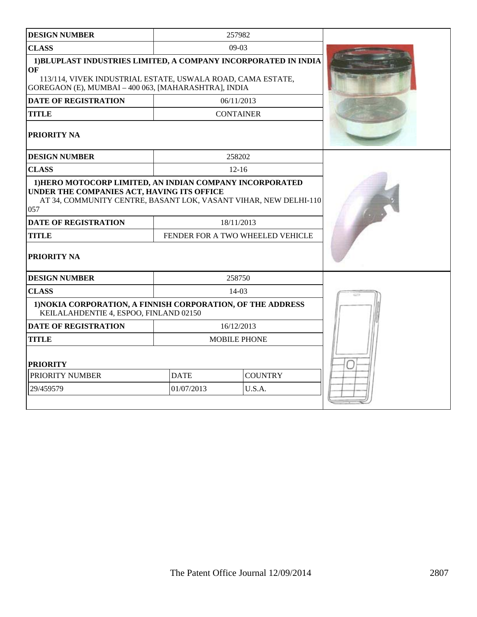| <b>DESIGN NUMBER</b>                                                                                                                                                                         |             | 257982                           |  |
|----------------------------------------------------------------------------------------------------------------------------------------------------------------------------------------------|-------------|----------------------------------|--|
| <b>CLASS</b>                                                                                                                                                                                 |             | $09-03$                          |  |
| 1) BLUPLAST INDUSTRIES LIMITED, A COMPANY INCORPORATED IN INDIA<br>OF<br>113/114, VIVEK INDUSTRIAL ESTATE, USWALA ROAD, CAMA ESTATE,<br>GOREGAON (E), MUMBAI - 400 063, [MAHARASHTRA], INDIA |             |                                  |  |
| <b>DATE OF REGISTRATION</b>                                                                                                                                                                  |             | 06/11/2013                       |  |
| <b>TITLE</b>                                                                                                                                                                                 |             | <b>CONTAINER</b>                 |  |
| PRIORITY NA                                                                                                                                                                                  |             |                                  |  |
| <b>DESIGN NUMBER</b>                                                                                                                                                                         |             | 258202                           |  |
| <b>CLASS</b>                                                                                                                                                                                 |             | $12 - 16$                        |  |
| 1) HERO MOTOCORP LIMITED, AN INDIAN COMPANY INCORPORATED<br>UNDER THE COMPANIES ACT, HAVING ITS OFFICE<br>AT 34, COMMUNITY CENTRE, BASANT LOK, VASANT VIHAR, NEW DELHI-110<br>057            |             |                                  |  |
| <b>DATE OF REGISTRATION</b>                                                                                                                                                                  |             | 18/11/2013                       |  |
| <b>TITLE</b>                                                                                                                                                                                 |             | FENDER FOR A TWO WHEELED VEHICLE |  |
| PRIORITY NA                                                                                                                                                                                  |             |                                  |  |
| <b>DESIGN NUMBER</b>                                                                                                                                                                         |             | 258750                           |  |
| <b>CLASS</b>                                                                                                                                                                                 |             | $14-03$                          |  |
| 1) NOKIA CORPORATION, A FINNISH CORPORATION, OF THE ADDRESS<br>KEILALAHDENTIE 4, ESPOO, FINLAND 02150                                                                                        |             |                                  |  |
| <b>DATE OF REGISTRATION</b>                                                                                                                                                                  |             | 16/12/2013                       |  |
| <b>TITLE</b>                                                                                                                                                                                 |             | <b>MOBILE PHONE</b>              |  |
| <b>PRIORITY</b>                                                                                                                                                                              |             |                                  |  |
| PRIORITY NUMBER                                                                                                                                                                              | <b>DATE</b> | <b>COUNTRY</b>                   |  |
| 29/459579                                                                                                                                                                                    | 01/07/2013  | U.S.A.                           |  |
|                                                                                                                                                                                              |             |                                  |  |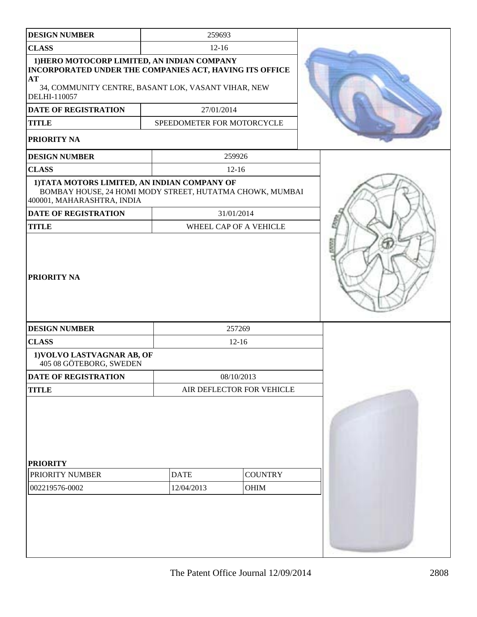| <b>DESIGN NUMBER</b><br><b>CLASS</b><br>1) HERO MOTOCORP LIMITED, AN INDIAN COMPANY<br>INCORPORATED UNDER THE COMPANIES ACT, HAVING ITS OFFICE<br>AT<br>34, COMMUNITY CENTRE, BASANT LOK, VASANT VIHAR, NEW<br>DELHI-110057<br>DATE OF REGISTRATION<br><b>TITLE</b><br>PRIORITY NA<br><b>DESIGN NUMBER</b><br><b>CLASS</b><br>1) TATA MOTORS LIMITED, AN INDIAN COMPANY OF<br>BOMBAY HOUSE, 24 HOMI MODY STREET, HUTATMA CHOWK, MUMBAI<br>400001, MAHARASHTRA, INDIA<br><b>DATE OF REGISTRATION</b><br><b>TITLE</b><br><b>PRIORITY NA</b> | 259693<br>$12 - 16$<br>27/01/2014<br>SPEEDOMETER FOR MOTORCYCLE | 259926<br>$12 - 16$<br>31/01/2014<br>WHEEL CAP OF A VEHICLE |
|-------------------------------------------------------------------------------------------------------------------------------------------------------------------------------------------------------------------------------------------------------------------------------------------------------------------------------------------------------------------------------------------------------------------------------------------------------------------------------------------------------------------------------------------|-----------------------------------------------------------------|-------------------------------------------------------------|
|                                                                                                                                                                                                                                                                                                                                                                                                                                                                                                                                           |                                                                 |                                                             |
|                                                                                                                                                                                                                                                                                                                                                                                                                                                                                                                                           |                                                                 |                                                             |
|                                                                                                                                                                                                                                                                                                                                                                                                                                                                                                                                           |                                                                 |                                                             |
|                                                                                                                                                                                                                                                                                                                                                                                                                                                                                                                                           |                                                                 |                                                             |
|                                                                                                                                                                                                                                                                                                                                                                                                                                                                                                                                           |                                                                 |                                                             |
|                                                                                                                                                                                                                                                                                                                                                                                                                                                                                                                                           |                                                                 |                                                             |
|                                                                                                                                                                                                                                                                                                                                                                                                                                                                                                                                           |                                                                 |                                                             |
|                                                                                                                                                                                                                                                                                                                                                                                                                                                                                                                                           |                                                                 |                                                             |
|                                                                                                                                                                                                                                                                                                                                                                                                                                                                                                                                           |                                                                 |                                                             |
| <b>DESIGN NUMBER</b>                                                                                                                                                                                                                                                                                                                                                                                                                                                                                                                      |                                                                 | 257269                                                      |
| <b>CLASS</b>                                                                                                                                                                                                                                                                                                                                                                                                                                                                                                                              |                                                                 | $12 - 16$                                                   |
| 1) VOLVO LASTVAGNAR AB, OF<br>405 08 GÖTEBORG, SWEDEN                                                                                                                                                                                                                                                                                                                                                                                                                                                                                     |                                                                 |                                                             |
| <b>DATE OF REGISTRATION</b>                                                                                                                                                                                                                                                                                                                                                                                                                                                                                                               |                                                                 | 08/10/2013                                                  |
| <b>TITLE</b>                                                                                                                                                                                                                                                                                                                                                                                                                                                                                                                              |                                                                 | AIR DEFLECTOR FOR VEHICLE                                   |
| <b>PRIORITY</b><br>PRIORITY NUMBER<br>002219576-0002                                                                                                                                                                                                                                                                                                                                                                                                                                                                                      | <b>DATE</b><br>12/04/2013                                       | <b>COUNTRY</b><br>OHIM                                      |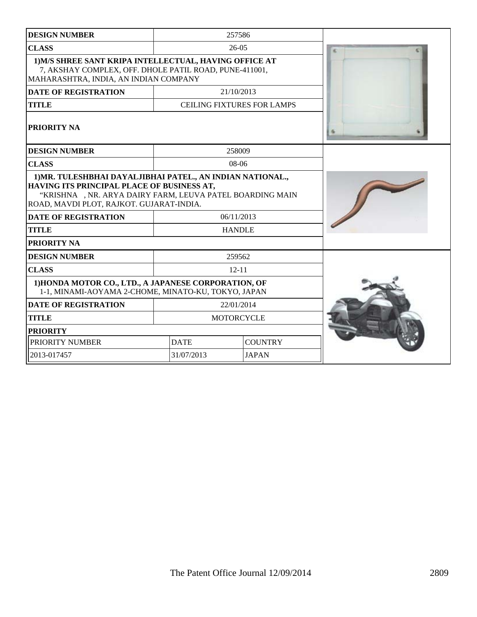| <b>DESIGN NUMBER</b>                                                                                                                                                                                              |                                   | 257586        |   |
|-------------------------------------------------------------------------------------------------------------------------------------------------------------------------------------------------------------------|-----------------------------------|---------------|---|
| <b>CLASS</b>                                                                                                                                                                                                      | $26-05$                           |               | ĸ |
| 1) M/S SHREE SANT KRIPA INTELLECTUAL, HAVING OFFICE AT<br>7, AKSHAY COMPLEX, OFF. DHOLE PATIL ROAD, PUNE-411001,<br>MAHARASHTRA, INDIA, AN INDIAN COMPANY                                                         |                                   |               |   |
| <b>DATE OF REGISTRATION</b>                                                                                                                                                                                       |                                   | 21/10/2013    |   |
| <b>TITLE</b>                                                                                                                                                                                                      | <b>CEILING FIXTURES FOR LAMPS</b> |               |   |
| PRIORITY NA                                                                                                                                                                                                       |                                   |               |   |
| <b>DESIGN NUMBER</b>                                                                                                                                                                                              |                                   | 258009        |   |
| <b>CLASS</b>                                                                                                                                                                                                      |                                   | $08-06$       |   |
| 1) MR. TULESHBHAI DAYALJIBHAI PATEL., AN INDIAN NATIONAL.,<br>HAVING ITS PRINCIPAL PLACE OF BUSINESS AT,<br>"KRISHNA , NR. ARYA DAIRY FARM, LEUVA PATEL BOARDING MAIN<br>ROAD, MAVDI PLOT, RAJKOT. GUJARAT-INDIA. |                                   |               |   |
| <b>DATE OF REGISTRATION</b>                                                                                                                                                                                       | 06/11/2013                        |               |   |
| <b>TITLE</b>                                                                                                                                                                                                      |                                   | <b>HANDLE</b> |   |
| PRIORITY NA                                                                                                                                                                                                       |                                   |               |   |
| <b>DESIGN NUMBER</b>                                                                                                                                                                                              |                                   | 259562        |   |
| <b>CLASS</b>                                                                                                                                                                                                      | $12 - 11$                         |               |   |
| 1) HONDA MOTOR CO., LTD., A JAPANESE CORPORATION, OF<br>1-1, MINAMI-AOYAMA 2-CHOME, MINATO-KU, TOKYO, JAPAN                                                                                                       |                                   |               |   |
| <b>DATE OF REGISTRATION</b>                                                                                                                                                                                       |                                   | 22/01/2014    |   |
| <b>TITLE</b>                                                                                                                                                                                                      | <b>MOTORCYCLE</b>                 |               |   |
| <b>PRIORITY</b>                                                                                                                                                                                                   |                                   |               |   |
| PRIORITY NUMBER                                                                                                                                                                                                   | <b>DATE</b><br><b>COUNTRY</b>     |               |   |
| 2013-017457                                                                                                                                                                                                       | 31/07/2013                        | <b>JAPAN</b>  |   |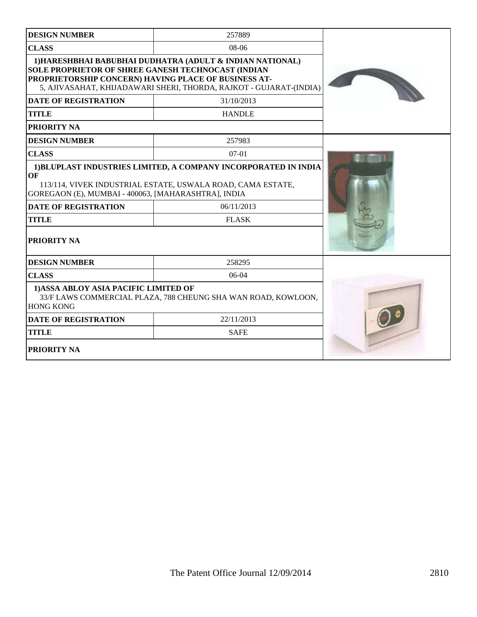| <b>DESIGN NUMBER</b>                                                                                                           | 257889                                                                                                                                                       |  |
|--------------------------------------------------------------------------------------------------------------------------------|--------------------------------------------------------------------------------------------------------------------------------------------------------------|--|
| <b>CLASS</b>                                                                                                                   |                                                                                                                                                              |  |
| <b>SOLE PROPRIETOR OF SHREE GANESH TECHNOCAST (INDIAN</b><br>PROPRIETORSHIP CONCERN) HAVING PLACE OF BUSINESS AT-              | 1) HARESHBHAI BABUBHAI DUDHATRA (ADULT & INDIAN NATIONAL)<br>5, AJIVASAHAT, KHIJADAWARI SHERI, THORDA, RAJKOT - GUJARAT-(INDIA)                              |  |
| <b>DATE OF REGISTRATION</b>                                                                                                    | 31/10/2013                                                                                                                                                   |  |
| <b>TITLE</b>                                                                                                                   | <b>HANDLE</b>                                                                                                                                                |  |
| <b>PRIORITY NA</b>                                                                                                             |                                                                                                                                                              |  |
| <b>DESIGN NUMBER</b>                                                                                                           | 257983                                                                                                                                                       |  |
| <b>CLASS</b>                                                                                                                   | $07-01$                                                                                                                                                      |  |
| OF<br>GOREGAON (E), MUMBAI - 400063, [MAHARASHTRA], INDIA<br><b>DATE OF REGISTRATION</b><br><b>TITLE</b><br><b>PRIORITY NA</b> | 1) BLUPLAST INDUSTRIES LIMITED, A COMPANY INCORPORATED IN INDIA<br>113/114, VIVEK INDUSTRIAL ESTATE, USWALA ROAD, CAMA ESTATE,<br>06/11/2013<br><b>FLASK</b> |  |
| <b>DESIGN NUMBER</b>                                                                                                           | 258295                                                                                                                                                       |  |
| <b>CLASS</b>                                                                                                                   | $06-04$                                                                                                                                                      |  |
| 1) ASSA ABLOY ASIA PACIFIC LIMITED OF<br>33/F LAWS COMMERCIAL PLAZA, 788 CHEUNG SHA WAN ROAD, KOWLOON,<br><b>HONG KONG</b>     |                                                                                                                                                              |  |
| <b>DATE OF REGISTRATION</b>                                                                                                    | 22/11/2013                                                                                                                                                   |  |
| <b>TITLE</b>                                                                                                                   | <b>SAFE</b>                                                                                                                                                  |  |
| <b>PRIORITY NA</b>                                                                                                             |                                                                                                                                                              |  |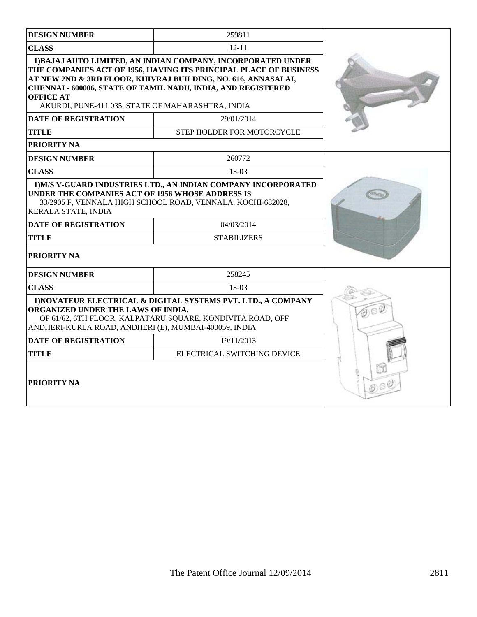| <b>DESIGN NUMBER</b>                                                                                                                                                                                                       | 259811                                                                                                                                                                                                                                                             |  |
|----------------------------------------------------------------------------------------------------------------------------------------------------------------------------------------------------------------------------|--------------------------------------------------------------------------------------------------------------------------------------------------------------------------------------------------------------------------------------------------------------------|--|
| <b>CLASS</b><br>$12 - 11$                                                                                                                                                                                                  |                                                                                                                                                                                                                                                                    |  |
| <b>OFFICE AT</b><br>AKURDI, PUNE-411 035, STATE OF MAHARASHTRA, INDIA                                                                                                                                                      | 1) BAJAJ AUTO LIMITED, AN INDIAN COMPANY, INCORPORATED UNDER<br>THE COMPANIES ACT OF 1956, HAVING ITS PRINCIPAL PLACE OF BUSINESS<br>AT NEW 2ND & 3RD FLOOR, KHIVRAJ BUILDING, NO. 616, ANNASALAI,<br>CHENNAI - 600006, STATE OF TAMIL NADU, INDIA, AND REGISTERED |  |
| <b>DATE OF REGISTRATION</b>                                                                                                                                                                                                | 29/01/2014                                                                                                                                                                                                                                                         |  |
| <b>TITLE</b>                                                                                                                                                                                                               | STEP HOLDER FOR MOTORCYCLE                                                                                                                                                                                                                                         |  |
| PRIORITY NA                                                                                                                                                                                                                |                                                                                                                                                                                                                                                                    |  |
| <b>DESIGN NUMBER</b>                                                                                                                                                                                                       | 260772                                                                                                                                                                                                                                                             |  |
| <b>CLASS</b>                                                                                                                                                                                                               | 13-03                                                                                                                                                                                                                                                              |  |
| UNDER THE COMPANIES ACT OF 1956 WHOSE ADDRESS IS<br>KERALA STATE, INDIA<br><b>DATE OF REGISTRATION</b><br><b>TITLE</b><br>PRIORITY NA                                                                                      | 1) M/S V-GUARD INDUSTRIES LTD., AN INDIAN COMPANY INCORPORATED<br>33/2905 F, VENNALA HIGH SCHOOL ROAD, VENNALA, KOCHI-682028,<br>04/03/2014<br><b>STABILIZERS</b>                                                                                                  |  |
| <b>DESIGN NUMBER</b>                                                                                                                                                                                                       | 258245                                                                                                                                                                                                                                                             |  |
| <b>CLASS</b>                                                                                                                                                                                                               | $13-03$                                                                                                                                                                                                                                                            |  |
| 1) NOVATEUR ELECTRICAL & DIGITAL SYSTEMS PVT. LTD., A COMPANY<br>ORGANIZED UNDER THE LAWS OF INDIA,<br>OF 61/62, 6TH FLOOR, KALPATARU SQUARE, KONDIVITA ROAD, OFF<br>ANDHERI-KURLA ROAD, ANDHERI (E), MUMBAI-400059, INDIA |                                                                                                                                                                                                                                                                    |  |
| <b>DATE OF REGISTRATION</b>                                                                                                                                                                                                | 19/11/2013                                                                                                                                                                                                                                                         |  |
| <b>TITLE</b>                                                                                                                                                                                                               |                                                                                                                                                                                                                                                                    |  |
| PRIORITY NA                                                                                                                                                                                                                |                                                                                                                                                                                                                                                                    |  |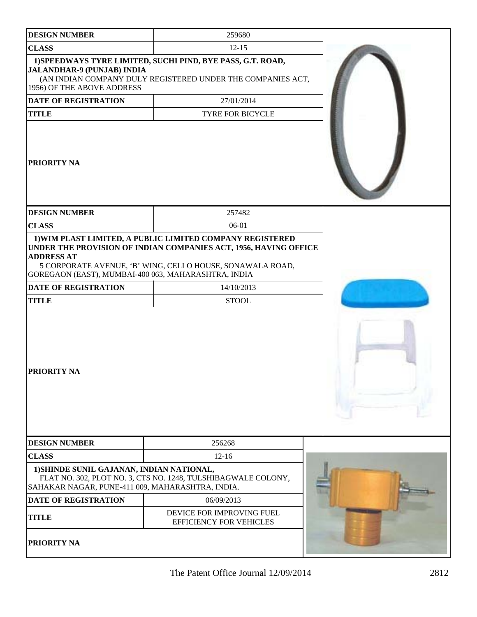| <b>DESIGN NUMBER</b>                                                                          | 259680                                                                                                                                                                                     |  |
|-----------------------------------------------------------------------------------------------|--------------------------------------------------------------------------------------------------------------------------------------------------------------------------------------------|--|
| <b>CLASS</b>                                                                                  | $12 - 15$                                                                                                                                                                                  |  |
| JALANDHAR-9 (PUNJAB) INDIA<br>1956) OF THE ABOVE ADDRESS                                      | 1) SPEEDWAYS TYRE LIMITED, SUCHI PIND, BYE PASS, G.T. ROAD,<br>(AN INDIAN COMPANY DULY REGISTERED UNDER THE COMPANIES ACT,                                                                 |  |
| <b>DATE OF REGISTRATION</b>                                                                   | 27/01/2014                                                                                                                                                                                 |  |
| <b>TITLE</b>                                                                                  | TYRE FOR BICYCLE                                                                                                                                                                           |  |
| <b>PRIORITY NA</b>                                                                            |                                                                                                                                                                                            |  |
| <b>DESIGN NUMBER</b>                                                                          | 257482                                                                                                                                                                                     |  |
| <b>CLASS</b>                                                                                  | 06-01                                                                                                                                                                                      |  |
| <b>ADDRESS AT</b><br>GOREGAON (EAST), MUMBAI-400 063, MAHARASHTRA, INDIA                      | 1) WIM PLAST LIMITED, A PUBLIC LIMITED COMPANY REGISTERED<br>UNDER THE PROVISION OF INDIAN COMPANIES ACT, 1956, HAVING OFFICE<br>5 CORPORATE AVENUE, 'B' WING, CELLO HOUSE, SONAWALA ROAD, |  |
| <b>DATE OF REGISTRATION</b>                                                                   | 14/10/2013                                                                                                                                                                                 |  |
| <b>TITLE</b>                                                                                  | <b>STOOL</b>                                                                                                                                                                               |  |
| <b>PRIORITY NA</b>                                                                            |                                                                                                                                                                                            |  |
| <b>DESIGN NUMBER</b>                                                                          | 256268                                                                                                                                                                                     |  |
| <b>CLASS</b>                                                                                  | $12 - 16$                                                                                                                                                                                  |  |
| 1) SHINDE SUNIL GAJANAN, INDIAN NATIONAL,<br>SAHAKAR NAGAR, PUNE-411 009, MAHARASHTRA, INDIA. | FLAT NO. 302, PLOT NO. 3, CTS NO. 1248, TULSHIBAGWALE COLONY,                                                                                                                              |  |
| <b>DATE OF REGISTRATION</b>                                                                   | 06/09/2013                                                                                                                                                                                 |  |
| <b>TITLE</b>                                                                                  | DEVICE FOR IMPROVING FUEL<br><b>EFFICIENCY FOR VEHICLES</b>                                                                                                                                |  |
| PRIORITY NA                                                                                   |                                                                                                                                                                                            |  |